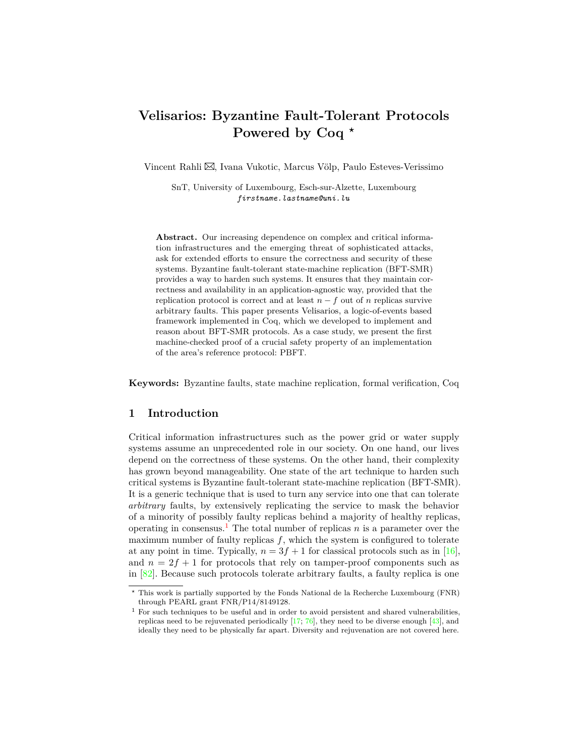# **Velisarios: Byzantine Fault-Tolerant Protocols Powered by Coq** *?*

Vincent Rahli  $\boxtimes$ , Ivana Vukotic, Marcus Völp, Paulo Esteves-Verissimo

SnT, University of Luxembourg, Esch-sur-Alzette, Luxembourg *firstname.lastname@uni.lu*

**Abstract.** Our increasing dependence on complex and critical information infrastructures and the emerging threat of sophisticated attacks, ask for extended efforts to ensure the correctness and security of these systems. Byzantine fault-tolerant state-machine replication (BFT-SMR) provides a way to harden such systems. It ensures that they maintain correctness and availability in an application-agnostic way, provided that the replication protocol is correct and at least  $n - f$  out of *n* replicas survive arbitrary faults. This paper presents Velisarios, a logic-of-events based framework implemented in Coq, which we developed to implement and reason about BFT-SMR protocols. As a case study, we present the first machine-checked proof of a crucial safety property of an implementation of the area's reference protocol: PBFT.

**Keywords:** Byzantine faults, state machine replication, formal verification, Coq

## **1 Introduction**

Critical information infrastructures such as the power grid or water supply systems assume an unprecedented role in our society. On one hand, our lives depend on the correctness of these systems. On the other hand, their complexity has grown beyond manageability. One state of the art technique to harden such critical systems is Byzantine fault-tolerant state-machine replication (BFT-SMR). It is a generic technique that is used to turn any service into one that can tolerate *arbitrary* faults, by extensively replicating the service to mask the behavior of a minority of possibly faulty replicas behind a majority of healthy replicas, operating in consensus.<sup>[1](#page-0-0)</sup> The total number of replicas  $n$  is a parameter over the maximum number of faulty replicas  $f$ , which the system is configured to tolerate at any point in time. Typically,  $n = 3f + 1$  for classical protocols such as in [\[16\]](#page-25-0), and  $n = 2f + 1$  for protocols that rely on tamper-proof components such as in [\[82\]](#page-26-0). Because such protocols tolerate arbitrary faults, a faulty replica is one

*<sup>?</sup>* This work is partially supported by the Fonds National de la Recherche Luxembourg (FNR) through PEARL grant FNR/P14/8149128.

<span id="page-0-0"></span> $^{\rm 1}$  For such techniques to be useful and in order to avoid persistent and shared vulnerabilities, replicas need to be rejuvenated periodically [\[17;](#page-25-1) [76\]](#page-26-1), they need to be diverse enough [\[43\]](#page-25-2), and ideally they need to be physically far apart. Diversity and rejuvenation are not covered here.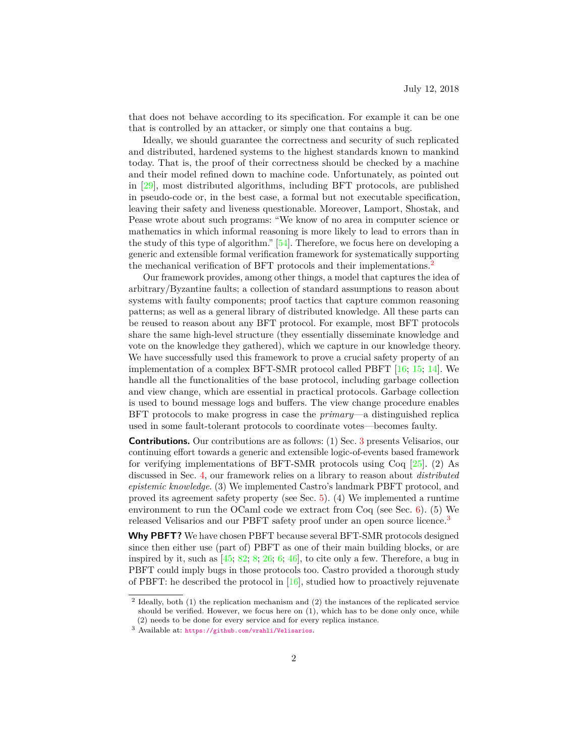that does not behave according to its specification. For example it can be one that is controlled by an attacker, or simply one that contains a bug.

Ideally, we should guarantee the correctness and security of such replicated and distributed, hardened systems to the highest standards known to mankind today. That is, the proof of their correctness should be checked by a machine and their model refined down to machine code. Unfortunately, as pointed out in [\[29\]](#page-25-3), most distributed algorithms, including BFT protocols, are published in pseudo-code or, in the best case, a formal but not executable specification, leaving their safety and liveness questionable. Moreover, Lamport, Shostak, and Pease wrote about such programs: "We know of no area in computer science or mathematics in which informal reasoning is more likely to lead to errors than in the study of this type of algorithm." [\[54\]](#page-26-2). Therefore, we focus here on developing a generic and extensible formal verification framework for systematically supporting the mechanical verification of BFT protocols and their implementations.<sup>[2](#page-1-0)</sup>

Our framework provides, among other things, a model that captures the idea of arbitrary/Byzantine faults; a collection of standard assumptions to reason about systems with faulty components; proof tactics that capture common reasoning patterns; as well as a general library of distributed knowledge. All these parts can be reused to reason about any BFT protocol. For example, most BFT protocols share the same high-level structure (they essentially disseminate knowledge and vote on the knowledge they gathered), which we capture in our knowledge theory. We have successfully used this framework to prove a crucial safety property of an implementation of a complex BFT-SMR protocol called PBFT [\[16;](#page-25-0) [15;](#page-25-4) [14\]](#page-25-5). We handle all the functionalities of the base protocol, including garbage collection and view change, which are essential in practical protocols. Garbage collection is used to bound message logs and buffers. The view change procedure enables BFT protocols to make progress in case the *primary*—a distinguished replica used in some fault-tolerant protocols to coordinate votes—becomes faulty.

**Contributions.** Our contributions are as follows: (1) Sec. [3](#page-5-0) presents Velisarios, our continuing effort towards a generic and extensible logic-of-events based framework for verifying implementations of BFT-SMR protocols using Coq [\[25\]](#page-25-6). (2) As discussed in Sec. [4,](#page-14-0) our framework relies on a library to reason about *distributed epistemic knowledge*. (3) We implemented Castro's landmark PBFT protocol, and proved its agreement safety property (see Sec. [5\)](#page-19-0). (4) We implemented a runtime environment to run the OCaml code we extract from Coq (see Sec.  $6$ ). (5) We released Velisarios and our PBFT safety proof under an open source licence.<sup>[3](#page-1-1)</sup>

**Why PBFT?** We have chosen PBFT because several BFT-SMR protocols designed since then either use (part of) PBFT as one of their main building blocks, or are inspired by it, such as  $[45; 82; 8; 26; 6; 46]$  $[45; 82; 8; 26; 6; 46]$  $[45; 82; 8; 26; 6; 46]$  $[45; 82; 8; 26; 6; 46]$  $[45; 82; 8; 26; 6; 46]$  $[45; 82; 8; 26; 6; 46]$  $[45; 82; 8; 26; 6; 46]$  $[45; 82; 8; 26; 6; 46]$  $[45; 82; 8; 26; 6; 46]$  $[45; 82; 8; 26; 6; 46]$  $[45; 82; 8; 26; 6; 46]$ , to cite only a few. Therefore, a bug in PBFT could imply bugs in those protocols too. Castro provided a thorough study of PBFT: he described the protocol in [\[16\]](#page-25-0), studied how to proactively rejuvenate

<span id="page-1-0"></span><sup>2</sup> Ideally, both (1) the replication mechanism and (2) the instances of the replicated service should be verified. However, we focus here on (1), which has to be done only once, while (2) needs to be done for every service and for every replica instance.

<span id="page-1-1"></span><sup>3</sup> Available at: <https://github.com/vrahli/Velisarios>.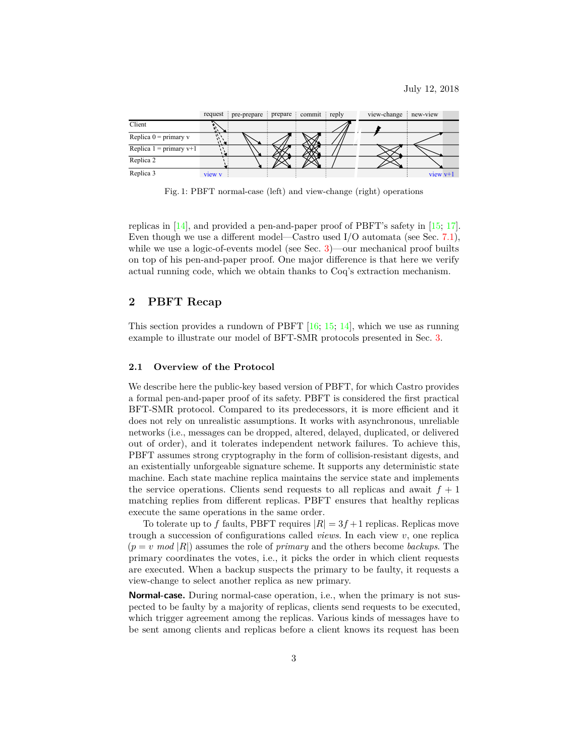<span id="page-2-0"></span>

Fig. 1: PBFT normal-case (left) and view-change (right) operations

replicas in [\[14\]](#page-25-5), and provided a pen-and-paper proof of PBFT's safety in [\[15;](#page-25-4) [17\]](#page-25-1). Even though we use a different model—Castro used I/O automata (see Sec. [7.1\)](#page-22-0), while we use a logic-of-events model (see Sec. [3\)](#page-5-0)—our mechanical proof builts on top of his pen-and-paper proof. One major difference is that here we verify actual running code, which we obtain thanks to Coq's extraction mechanism.

## **2 PBFT Recap**

This section provides a rundown of PBFT  $[16; 15; 14]$  $[16; 15; 14]$  $[16; 15; 14]$  $[16; 15; 14]$  $[16; 15; 14]$ , which we use as running example to illustrate our model of BFT-SMR protocols presented in Sec. [3.](#page-5-0)

#### <span id="page-2-1"></span>**2.1 Overview of the Protocol**

We describe here the public-key based version of PBFT, for which Castro provides a formal pen-and-paper proof of its safety. PBFT is considered the first practical BFT-SMR protocol. Compared to its predecessors, it is more efficient and it does not rely on unrealistic assumptions. It works with asynchronous, unreliable networks (i.e., messages can be dropped, altered, delayed, duplicated, or delivered out of order), and it tolerates independent network failures. To achieve this, PBFT assumes strong cryptography in the form of collision-resistant digests, and an existentially unforgeable signature scheme. It supports any deterministic state machine. Each state machine replica maintains the service state and implements the service operations. Clients send requests to all replicas and await  $f + 1$ matching replies from different replicas. PBFT ensures that healthy replicas execute the same operations in the same order.

To tolerate up to *f* faults, PBFT requires  $|R| = 3f + 1$  replicas. Replicas move trough a succession of configurations called *views*. In each view *v*, one replica  $(p = v \mod |R|)$  assumes the role of *primary* and the others become *backups*. The primary coordinates the votes, i.e., it picks the order in which client requests are executed. When a backup suspects the primary to be faulty, it requests a view-change to select another replica as new primary.

**Normal-case.** During normal-case operation, i.e., when the primary is not suspected to be faulty by a majority of replicas, clients send requests to be executed, which trigger agreement among the replicas. Various kinds of messages have to be sent among clients and replicas before a client knows its request has been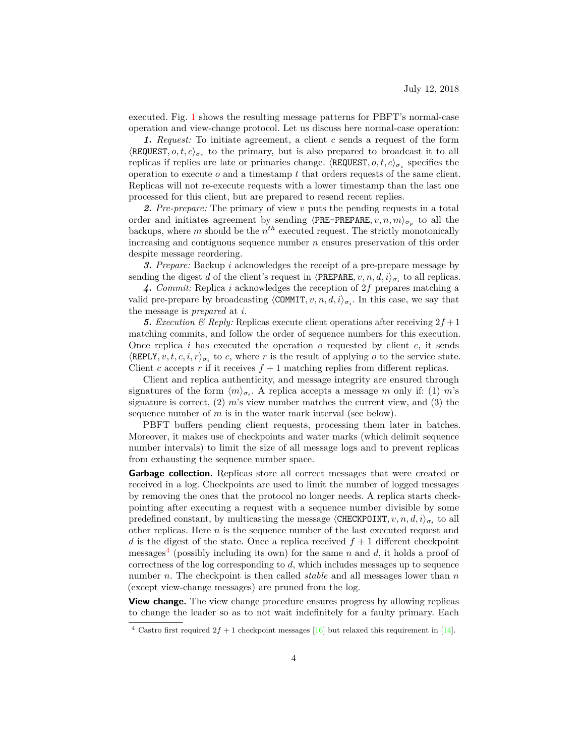executed. Fig. [1](#page-2-0) shows the resulting message patterns for PBFT's normal-case operation and view-change protocol. Let us discuss here normal-case operation:

*1. Request:* To initiate agreement, a client *c* sends a request of the form  $\langle$ **REQUEST**,  $o, t, c \rangle_{\sigma_c}$  to the primary, but is also prepared to broadcast it to all replicas if replies are late or primaries change.  $\langle$ REQUEST,  $o, t, c \rangle_{\sigma_c}$  specifies the operation to execute *o* and a timestamp *t* that orders requests of the same client. Replicas will not re-execute requests with a lower timestamp than the last one processed for this client, but are prepared to resend recent replies.

*2. Pre-prepare:* The primary of view *v* puts the pending requests in a total order and initiates agreement by sending  $\langle$ **PRE-PREPARE**,  $v, n, m \rangle_{\sigma_p}$  to all the backups, where *m* should be the *n th* executed request. The strictly monotonically increasing and contiguous sequence number *n* ensures preservation of this order despite message reordering.

*3. Prepare:* Backup *i* acknowledges the receipt of a pre-prepare message by sending the digest *d* of the client's request in  $\langle$ PREPARE,  $v, n, d, i \rangle_{\sigma_i}$  to all replicas.

*4. Commit:* Replica *i* acknowledges the reception of 2*f* prepares matching a valid pre-prepare by broadcasting  $\langle \text{COMMIT}, v, n, d, i \rangle_{\sigma_i}$ . In this case, we say that the message is *prepared* at *i*.

**5.** *Execution*  $\mathcal{B}$  *Reply:* Replicas execute client operations after receiving  $2f + 1$ matching commits, and follow the order of sequence numbers for this execution. Once replica  $i$  has executed the operation  $o$  requested by client  $c$ , it sends  $\langle$ **REPLY**,  $v, t, c, i, r \rangle_{\sigma_i}$  to *c*, where *r* is the result of applying *o* to the service state. Client *c* accepts *r* if it receives  $f + 1$  matching replies from different replicas.

Client and replica authenticity, and message integrity are ensured through signatures of the form  $\langle m \rangle_{\sigma_i}$ . A replica accepts a message *m* only if: (1) *m*'s signature is correct, (2) *m*'s view number matches the current view, and (3) the sequence number of *m* is in the water mark interval (see below).

PBFT buffers pending client requests, processing them later in batches. Moreover, it makes use of checkpoints and water marks (which delimit sequence number intervals) to limit the size of all message logs and to prevent replicas from exhausting the sequence number space.

**Garbage collection.** Replicas store all correct messages that were created or received in a log. Checkpoints are used to limit the number of logged messages by removing the ones that the protocol no longer needs. A replica starts checkpointing after executing a request with a sequence number divisible by some predefined constant, by multicasting the message  $\langle$ CHECKPOINT,  $v, n, d, i \rangle_{\sigma_i}$  to all other replicas. Here *n* is the sequence number of the last executed request and *d* is the digest of the state. Once a replica received  $f + 1$  different checkpoint messages<sup>[4](#page-3-0)</sup> (possibly including its own) for the same  $n$  and  $d$ , it holds a proof of correctness of the log corresponding to *d*, which includes messages up to sequence number *n*. The checkpoint is then called *stable* and all messages lower than *n* (except view-change messages) are pruned from the log.

**View change.** The view change procedure ensures progress by allowing replicas to change the leader so as to not wait indefinitely for a faulty primary. Each

<span id="page-3-0"></span><sup>&</sup>lt;sup>4</sup> Castro first required  $2f + 1$  checkpoint messages [\[16\]](#page-25-0) but relaxed this requirement in [\[14\]](#page-25-5).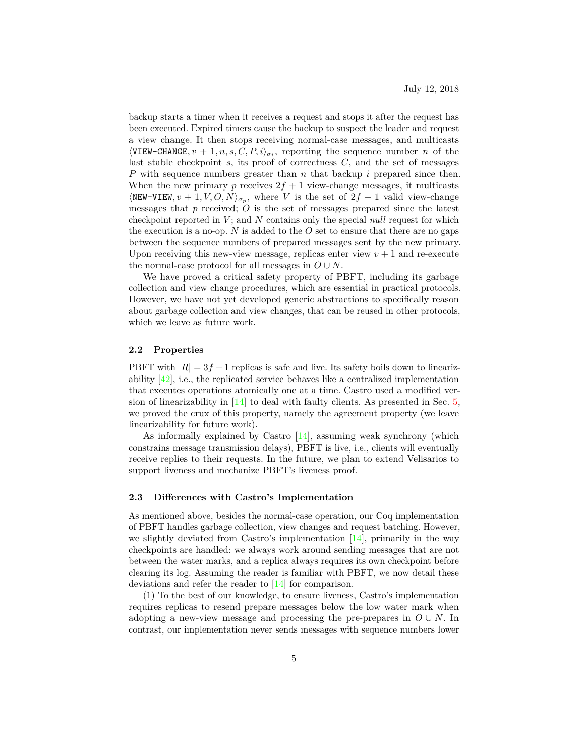backup starts a timer when it receives a request and stops it after the request has been executed. Expired timers cause the backup to suspect the leader and request a view change. It then stops receiving normal-case messages, and multicasts  $\langle$ VIEW-CHANGE,  $v + 1, n, s, C, P, i \rangle_{\sigma_i}$ , reporting the sequence number *n* of the last stable checkpoint *s*, its proof of correctness *C*, and the set of messages *P* with sequence numbers greater than *n* that backup *i* prepared since then. When the new primary  $p$  receives  $2f + 1$  view-change messages, it multicasts  $\langle \text{NEW-VIEW}, v + 1, V, O, N \rangle_{\sigma_p}$ , where *V* is the set of  $2f + 1$  valid view-change messages that *p* received; *O* is the set of messages prepared since the latest checkpoint reported in *V*; and *N* contains only the special *null* request for which the execution is a no-op. *N* is added to the *O* set to ensure that there are no gaps between the sequence numbers of prepared messages sent by the new primary. Upon receiving this new-view message, replicas enter view  $v + 1$  and re-execute the normal-case protocol for all messages in  $O \cup N$ .

We have proved a critical safety property of PBFT, including its garbage collection and view change procedures, which are essential in practical protocols. However, we have not yet developed generic abstractions to specifically reason about garbage collection and view changes, that can be reused in other protocols, which we leave as future work.

#### <span id="page-4-0"></span>**2.2 Properties**

PBFT with  $|R| = 3f + 1$  replicas is safe and live. Its safety boils down to linearizability  $[42]$ , i.e., the replicated service behaves like a centralized implementation that executes operations atomically one at a time. Castro used a modified version of linearizability in  $[14]$  to deal with faulty clients. As presented in Sec. [5,](#page-19-0) we proved the crux of this property, namely the agreement property (we leave linearizability for future work).

As informally explained by Castro [\[14\]](#page-25-5), assuming weak synchrony (which constrains message transmission delays), PBFT is live, i.e., clients will eventually receive replies to their requests. In the future, we plan to extend Velisarios to support liveness and mechanize PBFT's liveness proof.

#### **2.3 Differences with Castro's Implementation**

As mentioned above, besides the normal-case operation, our Coq implementation of PBFT handles garbage collection, view changes and request batching. However, we slightly deviated from Castro's implementation  $[14]$ , primarily in the way checkpoints are handled: we always work around sending messages that are not between the water marks, and a replica always requires its own checkpoint before clearing its log. Assuming the reader is familiar with PBFT, we now detail these deviations and refer the reader to [\[14\]](#page-25-5) for comparison.

(1) To the best of our knowledge, to ensure liveness, Castro's implementation requires replicas to resend prepare messages below the low water mark when adopting a new-view message and processing the pre-prepares in  $O \cup N$ . In contrast, our implementation never sends messages with sequence numbers lower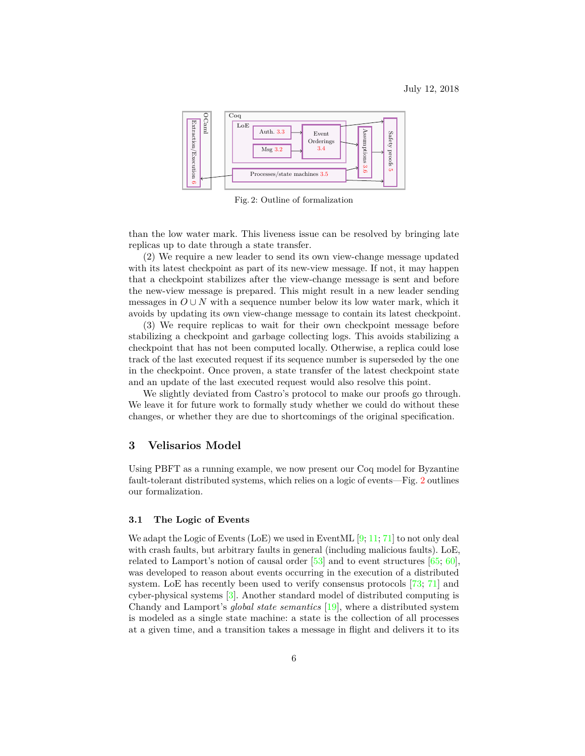<span id="page-5-1"></span>

Fig. 2: Outline of formalization

than the low water mark. This liveness issue can be resolved by bringing late replicas up to date through a state transfer.

(2) We require a new leader to send its own view-change message updated with its latest checkpoint as part of its new-view message. If not, it may happen that a checkpoint stabilizes after the view-change message is sent and before the new-view message is prepared. This might result in a new leader sending messages in  $O \cup N$  with a sequence number below its low water mark, which it avoids by updating its own view-change message to contain its latest checkpoint.

(3) We require replicas to wait for their own checkpoint message before stabilizing a checkpoint and garbage collecting logs. This avoids stabilizing a checkpoint that has not been computed locally. Otherwise, a replica could lose track of the last executed request if its sequence number is superseded by the one in the checkpoint. Once proven, a state transfer of the latest checkpoint state and an update of the last executed request would also resolve this point.

We slightly deviated from Castro's protocol to make our proofs go through. We leave it for future work to formally study whether we could do without these changes, or whether they are due to shortcomings of the original specification.

## <span id="page-5-0"></span>**3 Velisarios Model**

Using PBFT as a running example, we now present our Coq model for Byzantine fault-tolerant distributed systems, which relies on a logic of events—Fig. [2](#page-5-1) outlines our formalization.

#### <span id="page-5-2"></span>**3.1 The Logic of Events**

We adapt the Logic of Events (LoE) we used in EventML  $[9; 11; 71]$  $[9; 11; 71]$  $[9; 11; 71]$  $[9; 11; 71]$  $[9; 11; 71]$  to not only deal with crash faults, but arbitrary faults in general (including malicious faults). LoE, related to Lamport's notion of causal order [\[53\]](#page-26-6) and to event structures [\[65;](#page-26-7) [60\]](#page-26-8), was developed to reason about events occurring in the execution of a distributed system. LoE has recently been used to verify consensus protocols [\[73;](#page-26-9) [71\]](#page-26-5) and cyber-physical systems [\[3\]](#page-25-13). Another standard model of distributed computing is Chandy and Lamport's *global state semantics* [\[19\]](#page-25-14), where a distributed system is modeled as a single state machine: a state is the collection of all processes at a given time, and a transition takes a message in flight and delivers it to its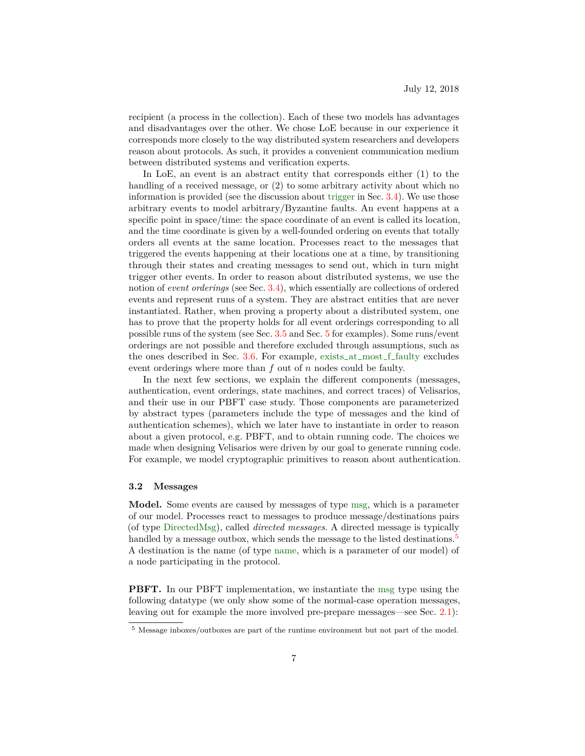recipient (a process in the collection). Each of these two models has advantages and disadvantages over the other. We chose LoE because in our experience it corresponds more closely to the way distributed system researchers and developers reason about protocols. As such, it provides a convenient communication medium between distributed systems and verification experts.

In LoE, an event is an abstract entity that corresponds either (1) to the handling of a received message, or  $(2)$  to some arbitrary activity about which no information is provided (see the discussion about trigger in Sec. [3.4\)](#page-8-0). We use those arbitrary events to model arbitrary/Byzantine faults. An event happens at a specific point in space/time: the space coordinate of an event is called its location, and the time coordinate is given by a well-founded ordering on events that totally orders all events at the same location. Processes react to the messages that triggered the events happening at their locations one at a time, by transitioning through their states and creating messages to send out, which in turn might trigger other events. In order to reason about distributed systems, we use the notion of *event orderings* (see Sec. [3.4\)](#page-8-0), which essentially are collections of ordered events and represent runs of a system. They are abstract entities that are never instantiated. Rather, when proving a property about a distributed system, one has to prove that the property holds for all event orderings corresponding to all possible runs of the system (see Sec. [3.5](#page-10-0) and Sec. [5](#page-19-0) for examples). Some runs/event orderings are not possible and therefore excluded through assumptions, such as the ones described in Sec. [3.6.](#page-11-0) For example, exists at most f faulty excludes event orderings where more than *f* out of *n* nodes could be faulty.

In the next few sections, we explain the different components (messages, authentication, event orderings, state machines, and correct traces) of Velisarios, and their use in our PBFT case study. Those components are parameterized by abstract types (parameters include the type of messages and the kind of authentication schemes), which we later have to instantiate in order to reason about a given protocol, e.g. PBFT, and to obtain running code. The choices we made when designing Velisarios were driven by our goal to generate running code. For example, we model cryptographic primitives to reason about authentication.

#### <span id="page-6-0"></span>**3.2 Messages**

**Model.** Some events are caused by messages of type msg, which is a parameter of our model. Processes react to messages to produce message/destinations pairs (of type DirectedMsg), called *directed messages*. A directed message is typically handled by a message outbox, which sends the message to the listed destinations.<sup>[5](#page-6-1)</sup> A destination is the name (of type name, which is a parameter of our model) of a node participating in the protocol.

**PBFT.** In our PBFT implementation, we instantiate the msg type using the following datatype (we only show some of the normal-case operation messages, leaving out for example the more involved pre-prepare messages—see Sec. [2.1\)](#page-2-1):

<span id="page-6-1"></span><sup>5</sup> Message inboxes/outboxes are part of the runtime environment but not part of the model.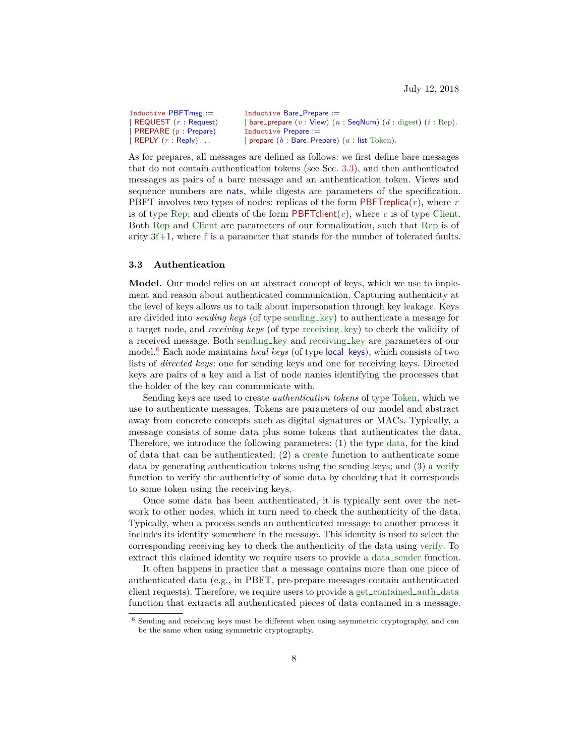```
Inductive PBFTmsg :=
| REQUEST (r : Request)
 | PREPARE (p : Prepare)
| REPLY (r : \text{Reply}) \dotsInductive Bare_Prepare :=
                                 | bare prepare (v : View) (n : SeqNum) (d : digest) (i : Rep).
                                 Inductive Prepare :=
                                 | prepare (b : Bare Prepare) (a : list Token).
```
As for prepares, all messages are defined as follows: we first define bare messages that do not contain authentication tokens (see Sec. [3.3\)](#page-7-0), and then authenticated messages as pairs of a bare message and an authentication token. Views and sequence numbers are nats, while digests are parameters of the specification. PBFT involves two types of nodes: replicas of the form  $\text{PBFTreplica}(r)$ , where *r* is of type Rep; and clients of the form  $\mathsf{PBFTclient}(c)$ , where c is of type Client. Both Rep and Client are parameters of our formalization, such that Rep is of arity  $3f+1$ , where f is a parameter that stands for the number of tolerated faults.

#### <span id="page-7-0"></span>**3.3 Authentication**

**Model.** Our model relies on an abstract concept of keys, which we use to implement and reason about authenticated communication. Capturing authenticity at the level of keys allows us to talk about impersonation through key leakage. Keys are divided into *sending keys* (of type sending key) to authenticate a message for a target node, and *receiving keys* (of type receiving key) to check the validity of a received message. Both sending key and receiving key are parameters of our model.<sup>[6](#page-7-1)</sup> Each node maintains *local keys* (of type **local keys**), which consists of two lists of *directed keys*: one for sending keys and one for receiving keys. Directed keys are pairs of a key and a list of node names identifying the processes that the holder of the key can communicate with.

Sending keys are used to create *authentication tokens* of type Token, which we use to authenticate messages. Tokens are parameters of our model and abstract away from concrete concepts such as digital signatures or MACs. Typically, a message consists of some data plus some tokens that authenticates the data. Therefore, we introduce the following parameters: (1) the type data, for the kind of data that can be authenticated;  $(2)$  a create function to authenticate some data by generating authentication tokens using the sending keys; and (3) a verify function to verify the authenticity of some data by checking that it corresponds to some token using the receiving keys.

Once some data has been authenticated, it is typically sent over the network to other nodes, which in turn need to check the authenticity of the data. Typically, when a process sends an authenticated message to another process it includes its identity somewhere in the message. This identity is used to select the corresponding receiving key to check the authenticity of the data using verify. To extract this claimed identity we require users to provide a data sender function.

It often happens in practice that a message contains more than one piece of authenticated data (e.g., in PBFT, pre-prepare messages contain authenticated client requests). Therefore, we require users to provide a get\_contained\_auth\_data function that extracts all authenticated pieces of data contained in a message.

<span id="page-7-1"></span><sup>6</sup> Sending and receiving keys must be different when using asymmetric cryptography, and can be the same when using symmetric cryptography.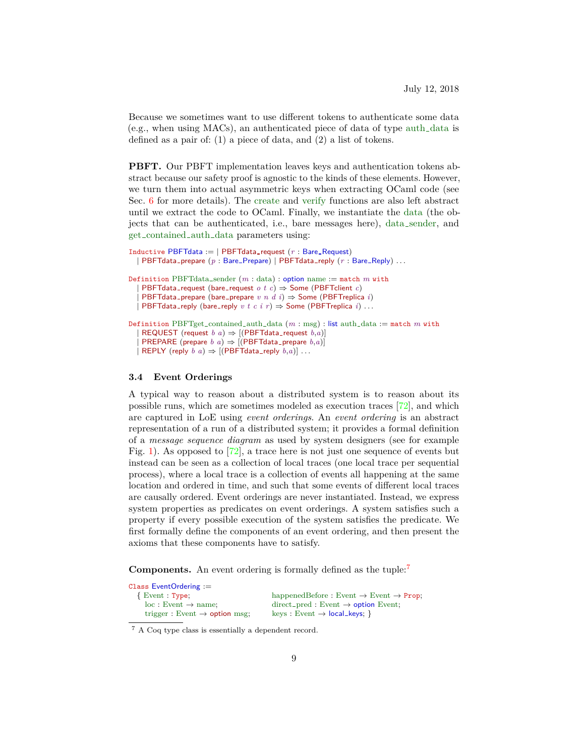Because we sometimes want to use different tokens to authenticate some data  $(e.g., when using MACs)$ , an authenticated piece of data of type auth $\_data$  is defined as a pair of: (1) a piece of data, and (2) a list of tokens.

**PBFT.** Our PBFT implementation leaves keys and authentication tokens abstract because our safety proof is agnostic to the kinds of these elements. However, we turn them into actual asymmetric keys when extracting OCaml code (see Sec. [6](#page-20-0) for more details). The create and verify functions are also left abstract until we extract the code to OCaml. Finally, we instantiate the data (the objects that can be authenticated, i.e., bare messages here), data sender, and get contained auth data parameters using:

```
Inductive PBFTdata := | PBFTdata_request (r : Bare_Request)
  | PBFTdata_prepare (p: Bare_Prepare) | PBFTdata_reply (r: Bare_Reply) ...
Definition PBFTdata sender (m : data) : option name := match m with
   PBFTdata_request (bare_request o t c) \Rightarrow Some (PBFTclient c)PBFTdata_prepare (bare_prepare v \, n \, d \, i) \Rightarrow Some (PBFTreplica i)
  | PBFTdata_reply (bare_reply v \, t \, c \, i \, r) \Rightarrow Some (PBFTreplica i) \, \ldotsDefinition PBFTget contained auth data (m : msg) : list auth data := match m with
   REQUEST (request b a) \Rightarrow [(PBFTdata_request b,a)]
   PREPARE (prepare b a) \Rightarrow [(PBFTdata_prepare b,a)]
  | REPLY (reply b a) \Rightarrow [(PBFTdata_reply b,a)] ...
```
## <span id="page-8-0"></span>**3.4 Event Orderings**

A typical way to reason about a distributed system is to reason about its possible runs, which are sometimes modeled as execution traces [\[72\]](#page-26-10), and which are captured in LoE using *event orderings*. An *event ordering* is an abstract representation of a run of a distributed system; it provides a formal definition of a *message sequence diagram* as used by system designers (see for example Fig. [1\)](#page-2-0). As opposed to [\[72\]](#page-26-10), a trace here is not just one sequence of events but instead can be seen as a collection of local traces (one local trace per sequential process), where a local trace is a collection of events all happening at the same location and ordered in time, and such that some events of different local traces are causally ordered. Event orderings are never instantiated. Instead, we express system properties as predicates on event orderings. A system satisfies such a property if every possible execution of the system satisfies the predicate. We first formally define the components of an event ordering, and then present the axioms that these components have to satisfy.

**Components.** An event ordering is formally defined as the tuple:<sup>[7](#page-8-1)</sup>

| $Class$ Event $Ordering :=$               |                                                                |
|-------------------------------------------|----------------------------------------------------------------|
| $\{$ Event : Type;                        | happened Before: Event $\rightarrow$ Event $\rightarrow$ Prop. |
| $loc: Event \rightarrow name.$            | $direct\_pred : Event \rightarrow option Event;$               |
| trigger : Event $\rightarrow$ option msg; | $keys: Event \rightarrow local\_keys;$                         |

<span id="page-8-1"></span><sup>7</sup> A Coq type class is essentially a dependent record.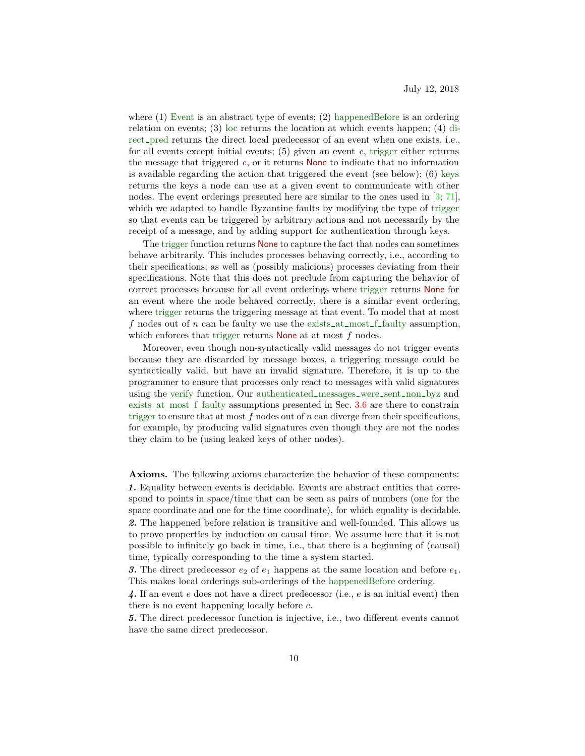where (1) Event is an abstract type of events; (2) happenedBefore is an ordering relation on events; (3) loc returns the location at which events happen; (4) direct pred returns the direct local predecessor of an event when one exists, i.e., for all events except initial events; (5) given an event *e*, trigger either returns the message that triggered *e*, or it returns None to indicate that no information is available regarding the action that triggered the event (see below); (6) keys returns the keys a node can use at a given event to communicate with other nodes. The event orderings presented here are similar to the ones used in [\[3;](#page-25-13) [71\]](#page-26-5), which we adapted to handle Byzantine faults by modifying the type of trigger so that events can be triggered by arbitrary actions and not necessarily by the receipt of a message, and by adding support for authentication through keys.

The trigger function returns None to capture the fact that nodes can sometimes behave arbitrarily. This includes processes behaving correctly, i.e., according to their specifications; as well as (possibly malicious) processes deviating from their specifications. Note that this does not preclude from capturing the behavior of correct processes because for all event orderings where trigger returns None for an event where the node behaved correctly, there is a similar event ordering, where trigger returns the triggering message at that event. To model that at most *f* nodes out of *n* can be faulty we use the exists at most f faulty assumption, which enforces that trigger returns None at at most *f* nodes.

Moreover, even though non-syntactically valid messages do not trigger events because they are discarded by message boxes, a triggering message could be syntactically valid, but have an invalid signature. Therefore, it is up to the programmer to ensure that processes only react to messages with valid signatures using the verify function. Our authenticated\_messages\_were\_sent\_non\_byz and exists\_at\_most\_f\_faulty assumptions presented in Sec. [3.6](#page-11-0) are there to constrain trigger to ensure that at most *f* nodes out of *n* can diverge from their specifications, for example, by producing valid signatures even though they are not the nodes they claim to be (using leaked keys of other nodes).

**Axioms.** The following axioms characterize the behavior of these components: *1.* Equality between events is decidable. Events are abstract entities that correspond to points in space/time that can be seen as pairs of numbers (one for the space coordinate and one for the time coordinate), for which equality is decidable. *2.* The happened before relation is transitive and well-founded. This allows us to prove properties by induction on causal time. We assume here that it is not possible to infinitely go back in time, i.e., that there is a beginning of (causal) time, typically corresponding to the time a system started.

**3.** The direct predecessor  $e_2$  of  $e_1$  happens at the same location and before  $e_1$ . This makes local orderings sub-orderings of the happenedBefore ordering.

*4.* If an event *e* does not have a direct predecessor (i.e., *e* is an initial event) then there is no event happening locally before *e*.

*5.* The direct predecessor function is injective, i.e., two different events cannot have the same direct predecessor.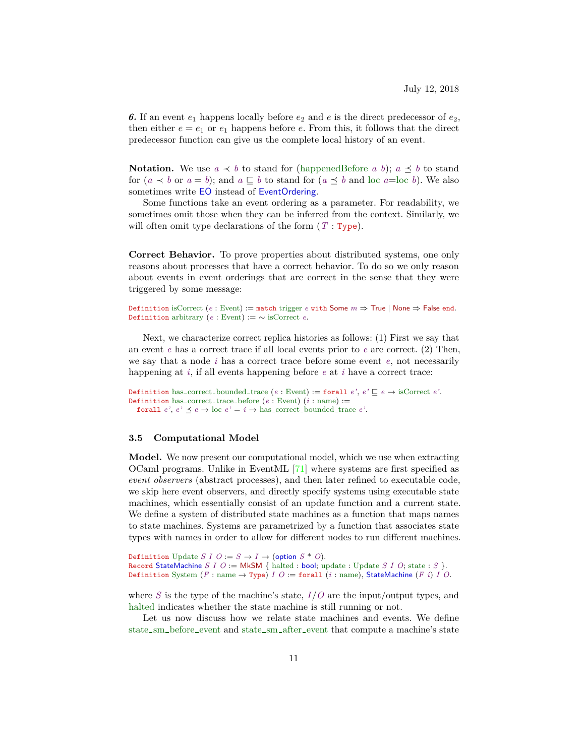**6.** If an event  $e_1$  happens locally before  $e_2$  and  $e$  is the direct predecessor of  $e_2$ , then either  $e = e_1$  or  $e_1$  happens before  $e$ . From this, it follows that the direct predecessor function can give us the complete local history of an event.

**Notation.** We use  $a \prec b$  to stand for (happenedBefore *a b*);  $a \prec b$  to stand for  $(a \prec b$  or  $a = b)$ ; and  $a \sqsubseteq b$  to stand for  $(a \preceq b$  and loc  $a = \text{loc } b$ ). We also sometimes write  $EO$  instead of EventOrdering.

Some functions take an event ordering as a parameter. For readability, we sometimes omit those when they can be inferred from the context. Similarly, we will often omit type declarations of the form (*T* : Type).

**Correct Behavior.** To prove properties about distributed systems, one only reasons about processes that have a correct behavior. To do so we only reason about events in event orderings that are correct in the sense that they were triggered by some message:

```
Definition isCorrect (e : Event) := match trigger \text{ with Some } m \Rightarrow True \mid None \Rightarrow False \text{ end.}Definition arbitrary (e : Event) := ∼ isCorrect e.
```
Next, we characterize correct replica histories as follows: (1) First we say that an event *e* has a correct trace if all local events prior to *e* are correct. (2) Then, we say that a node *i* has a correct trace before some event *e*, not necessarily happening at *i*, if all events happening before *e* at *i* have a correct trace:

```
Definition has correct bounded trace (e : Event) := forall e', e' \sqsubseteq e \rightarrow isCorrect e'.
Definition has_correct_trace_before (e : Event) (i : name) :=forall e', e' \preceq e \rightarrow \text{loc } e' = i \rightarrow \text{has-correct-bounded-tree } e'.
```
#### <span id="page-10-0"></span>**3.5 Computational Model**

**Model.** We now present our computational model, which we use when extracting OCaml programs. Unlike in EventML [\[71\]](#page-26-5) where systems are first specified as *event observers* (abstract processes), and then later refined to executable code, we skip here event observers, and directly specify systems using executable state machines, which essentially consist of an update function and a current state. We define a system of distributed state machines as a function that maps names to state machines. Systems are parametrized by a function that associates state types with names in order to allow for different nodes to run different machines.

Definition Update *S I*  $O := S \rightarrow I \rightarrow$  (option *S* \* *O*). Record StateMachine  $S \, I \, O := \text{MkSM} \{ \text{ halted} : \text{bool} ; \text{ update} : \text{Update} \, S \, I \, O; \text{ state} : S \}.$ Definition System  $(F : name \rightarrow Type)$  *I*  $O := formal$   $(i : name)$ , StateMachine  $(F i)$  *I*  $O$ .

where *S* is the type of the machine's state, *I* /*O* are the input/output types, and halted indicates whether the state machine is still running or not.

Let us now discuss how we relate state machines and events. We define state\_sm\_before\_event and state\_sm\_after\_event that compute a machine's state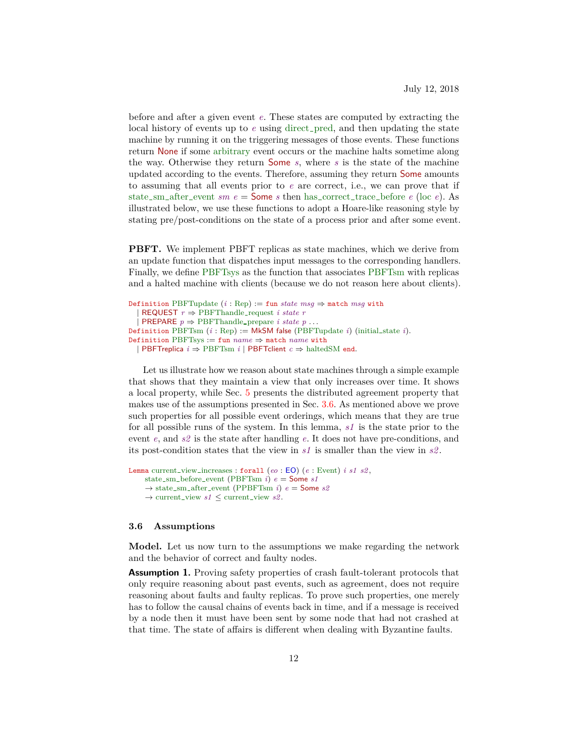before and after a given event *e*. These states are computed by extracting the local history of events up to *e* using direct pred, and then updating the state machine by running it on the triggering messages of those events. These functions return None if some arbitrary event occurs or the machine halts sometime along the way. Otherwise they return Some *s*, where *s* is the state of the machine updated according to the events. Therefore, assuming they return Some amounts to assuming that all events prior to *e* are correct, i.e., we can prove that if state\_sm\_after\_event *sm*  $e =$  Some *s* then has\_correct\_trace\_before  $e$  (loc  $e$ ). As illustrated below, we use these functions to adopt a Hoare-like reasoning style by stating pre/post-conditions on the state of a process prior and after some event.

**PBFT.** We implement PBFT replicas as state machines, which we derive from an update function that dispatches input messages to the corresponding handlers. Finally, we define PBFTsys as the function that associates PBFTsm with replicas and a halted machine with clients (because we do not reason here about clients).

```
Definition PBFTupdate (i : \text{Rep}) := \text{fun state } msg \Rightarrow \text{match } msg \text{ with }REQUEST r \Rightarrow PBFThandle request i state rPREPARE p \Rightarrow PBFThandle_prepare i state p \dotsDefinition PBFTsm (i : Rep) := MkSM false (PBFTupdate i) (initial state i).
Definition PBFTsys := fun name \Rightarrow match \ name with
  | PBFTreplica i ⇒ PBFTsm i | PBFTclient c ⇒ haltedSM end.
```
Let us illustrate how we reason about state machines through a simple example that shows that they maintain a view that only increases over time. It shows a local property, while Sec. [5](#page-19-0) presents the distributed agreement property that makes use of the assumptions presented in Sec. [3.6.](#page-11-0) As mentioned above we prove such properties for all possible event orderings, which means that they are true for all possible runs of the system. In this lemma, *s1* is the state prior to the event *e*, and *s2* is the state after handling *e*. It does not have pre-conditions, and its post-condition states that the view in *s1* is smaller than the view in *s2* .

```
Lemma current view increases : forall (eo : EO) (e : Event) i s1 s2 ,
    state sm before event (PBFTsm i) e = Some s1
    \rightarrow state_sm_after_event (PPBFTsm i) e = Some s2
    \rightarrow current_view s1 \leq current_view s2.
```
#### <span id="page-11-0"></span>**3.6 Assumptions**

**Model.** Let us now turn to the assumptions we make regarding the network and the behavior of correct and faulty nodes.

**Assumption 1.** Proving safety properties of crash fault-tolerant protocols that only require reasoning about past events, such as agreement, does not require reasoning about faults and faulty replicas. To prove such properties, one merely has to follow the causal chains of events back in time, and if a message is received by a node then it must have been sent by some node that had not crashed at that time. The state of affairs is different when dealing with Byzantine faults.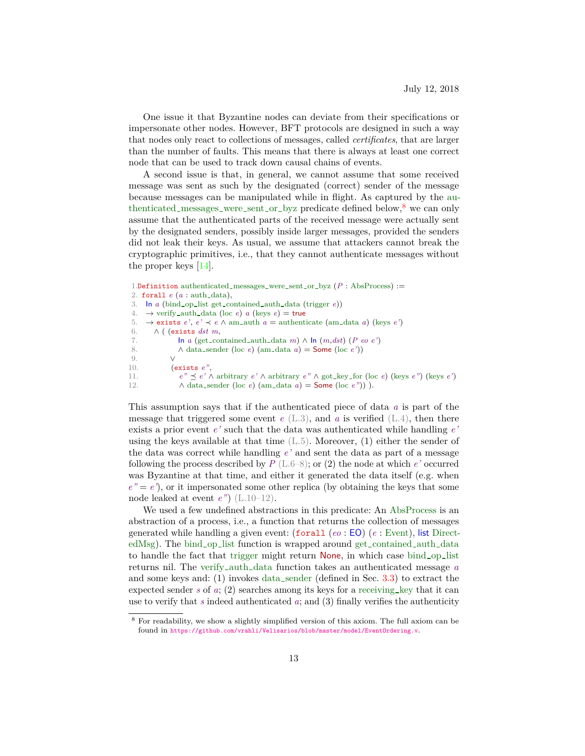One issue it that Byzantine nodes can deviate from their specifications or impersonate other nodes. However, BFT protocols are designed in such a way that nodes only react to collections of messages, called *certificates*, that are larger than the number of faults. This means that there is always at least one correct node that can be used to track down causal chains of events.

A second issue is that, in general, we cannot assume that some received message was sent as such by the designated (correct) sender of the message because messages can be manipulated while in flight. As captured by the au-thenticated messages were sent or byz predicate defined below,<sup>[8](#page-12-0)</sup> we can only assume that the authenticated parts of the received message were actually sent by the designated senders, possibly inside larger messages, provided the senders did not leak their keys. As usual, we assume that attackers cannot break the cryptographic primitives, i.e., that they cannot authenticate messages without the proper keys [\[14\]](#page-25-5).

```
1.Definition authenticated messages were sent or byz (P : AbsProcess) :=
2. forall e(a : \text{auth-data}),
3. In a (bind op list get contained auth data (trigger e))
4. \rightarrow verify_auth_data (loc e) a (keys e) = true
5. \rightarrow exists e', e' \prec e \land am_auth a = authenticate (am_data a) (keys e')
6. \wedge ( (exists dst m,<br>7. ln a (get_com
               7. In a (get contained auth data m) ∧ In (m,dst) (P eo e')
8. \wedge data_sender (loc e) (am_data a) = Some (loc e'))
9. ∨
10. (exists e",
11. e" ≺ e' ∧ arbitrary e' ∧ arbitrary e" ∧ got_key_for (loc e) (keys e") (keys e')
12. \Delta \text{ data\_sender} (\text{loc } e) (\text{am\_data } a) = \text{Some} (\text{loc } e^{\gamma})) ).
```
This assumption says that if the authenticated piece of data *a* is part of the message that triggered some event  $e$  (L.3), and  $a$  is verified (L.4), then there exists a prior event *e'* such that the data was authenticated while handling *e'* using the keys available at that time  $(L.5)$ . Moreover,  $(1)$  either the sender of the data was correct while handling *e'* and sent the data as part of a message following the process described by  $P(L.6-8)$ ; or (2) the node at which  $e'$  occurred was Byzantine at that time, and either it generated the data itself (e.g. when  $e'' = e'$ , or it impersonated some other replica (by obtaining the keys that some node leaked at event *e"*) (L.10–12).

We used a few undefined abstractions in this predicate: An AbsProcess is an abstraction of a process, i.e., a function that returns the collection of messages generated while handling a given event: (forall (*eo* : EO) (*e* : Event), list DirectedMsg). The bind op list function is wrapped around get contained auth data to handle the fact that trigger might return None, in which case bind<sub>-op-list</sub> returns nil. The verify\_auth\_data function takes an authenticated message *a* and some keys and: (1) invokes data sender (defined in Sec. [3.3\)](#page-7-0) to extract the expected sender *s* of *a*; (2) searches among its keys for a receiving key that it can use to verify that *s* indeed authenticated  $a$ ; and  $(3)$  finally verifies the authenticity

<span id="page-12-0"></span><sup>8</sup> For readability, we show a slightly simplified version of this axiom. The full axiom can be found in <https://github.com/vrahli/Velisarios/blob/master/model/EventOrdering.v>.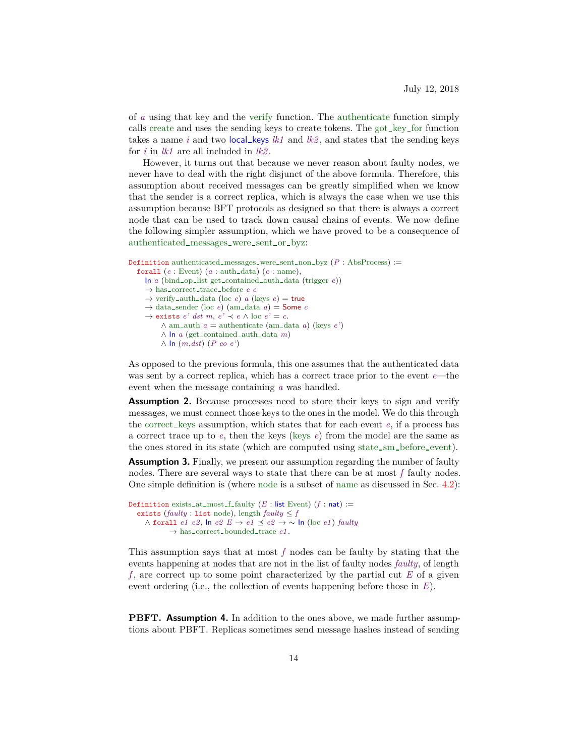of *a* using that key and the verify function. The authenticate function simply calls create and uses the sending keys to create tokens. The got\_key\_for function takes a name *i* and two local keys  $lk1$  and  $lk2$ , and states that the sending keys for *i* in *lk1* are all included in *lk2* .

However, it turns out that because we never reason about faulty nodes, we never have to deal with the right disjunct of the above formula. Therefore, this assumption about received messages can be greatly simplified when we know that the sender is a correct replica, which is always the case when we use this assumption because BFT protocols as designed so that there is always a correct node that can be used to track down causal chains of events. We now define the following simpler assumption, which we have proved to be a consequence of authenticated\_messages\_were\_sent\_or\_byz:

```
Definition authenticated messages were sent non byz (P : AbsProcess) :=forall (e:Event) (a:auth\_data) (c: name),
    In a (bind op list get contained auth data (trigger e))
    \rightarrow has<br>_correct_trace_before e c\rightarrow verify_auth_data (loc e) a (keys e) = true
    \rightarrow data_sender (loc e) (am_data a) = Some c
    \rightarrow exists e' dst m, e' \prec e \land loc e' = c.
         \land am_auth a = authenticate (am_data a) (keys e')
         ∧ In a (get contained auth data m)
         ∧ In (m,dst) (P eo e')
```
As opposed to the previous formula, this one assumes that the authenticated data was sent by a correct replica, which has a correct trace prior to the event *e*—the event when the message containing *a* was handled.

**Assumption 2.** Because processes need to store their keys to sign and verify messages, we must connect those keys to the ones in the model. We do this through the correct keys assumption, which states that for each event *e*, if a process has a correct trace up to *e*, then the keys (keys *e*) from the model are the same as the ones stored in its state (which are computed using state sm before event).

**Assumption 3.** Finally, we present our assumption regarding the number of faulty nodes. There are several ways to state that there can be at most *f* faulty nodes. One simple definition is (where node is a subset of name as discussed in Sec. [4.2\)](#page-15-0):

```
Definition exists_at_most_f_faulty (E : \text{list Event}) (f : \text{nat}) :=exists (faulty : list node), length faulty \leq f∧ forall e1 e2, In e2 E → e1  e2 → ∼ In (loc e1) faulty
            \rightarrow has_correct_bounded_trace e1.
```
This assumption says that at most *f* nodes can be faulty by stating that the events happening at nodes that are not in the list of faulty nodes *faulty*, of length *f* , are correct up to some point characterized by the partial cut *E* of a given event ordering (i.e., the collection of events happening before those in *E*).

**PBFT. Assumption 4.** In addition to the ones above, we made further assumptions about PBFT. Replicas sometimes send message hashes instead of sending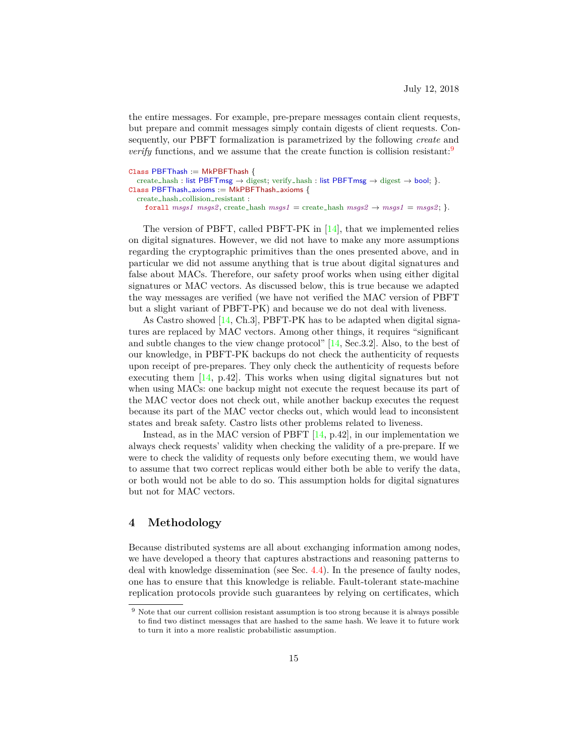the entire messages. For example, pre-prepare messages contain client requests, but prepare and commit messages simply contain digests of client requests. Consequently, our PBFT formalization is parametrized by the following *create* and *verify* functions, and we assume that the create function is collision resistant:<sup>[9](#page-14-1)</sup>

```
Class PBFThash := MkPBFThash {
  create_hash : list PBFTmsg \rightarrow digest; verify_hash : list PBFTmsg \rightarrow digest \rightarrow bool; }.
Class PBFThash_axioms := MkPBFThash_axioms {
  create hash collision resistant :
    forall msgs1 msgs2, create_hash msgs1 = create_hash msgs2 \rightarrow msgs1 = msgs2; }.
```
The version of PBFT, called PBFT-PK in  $[14]$ , that we implemented relies on digital signatures. However, we did not have to make any more assumptions regarding the cryptographic primitives than the ones presented above, and in particular we did not assume anything that is true about digital signatures and false about MACs. Therefore, our safety proof works when using either digital signatures or MAC vectors. As discussed below, this is true because we adapted the way messages are verified (we have not verified the MAC version of PBFT but a slight variant of PBFT-PK) and because we do not deal with liveness.

As Castro showed [\[14,](#page-25-5) Ch.3], PBFT-PK has to be adapted when digital signatures are replaced by MAC vectors. Among other things, it requires "significant and subtle changes to the view change protocol" [\[14,](#page-25-5) Sec.3.2]. Also, to the best of our knowledge, in PBFT-PK backups do not check the authenticity of requests upon receipt of pre-prepares. They only check the authenticity of requests before executing them [\[14,](#page-25-5) p.42]. This works when using digital signatures but not when using MACs: one backup might not execute the request because its part of the MAC vector does not check out, while another backup executes the request because its part of the MAC vector checks out, which would lead to inconsistent states and break safety. Castro lists other problems related to liveness.

Instead, as in the MAC version of PBFT  $[14, p.42]$  $[14, p.42]$ , in our implementation we always check requests' validity when checking the validity of a pre-prepare. If we were to check the validity of requests only before executing them, we would have to assume that two correct replicas would either both be able to verify the data, or both would not be able to do so. This assumption holds for digital signatures but not for MAC vectors.

## <span id="page-14-0"></span>**4 Methodology**

Because distributed systems are all about exchanging information among nodes, we have developed a theory that captures abstractions and reasoning patterns to deal with knowledge dissemination (see Sec. [4.4\)](#page-16-0). In the presence of faulty nodes, one has to ensure that this knowledge is reliable. Fault-tolerant state-machine replication protocols provide such guarantees by relying on certificates, which

<span id="page-14-1"></span><sup>&</sup>lt;sup>9</sup> Note that our current collision resistant assumption is too strong because it is always possible to find two distinct messages that are hashed to the same hash. We leave it to future work to turn it into a more realistic probabilistic assumption.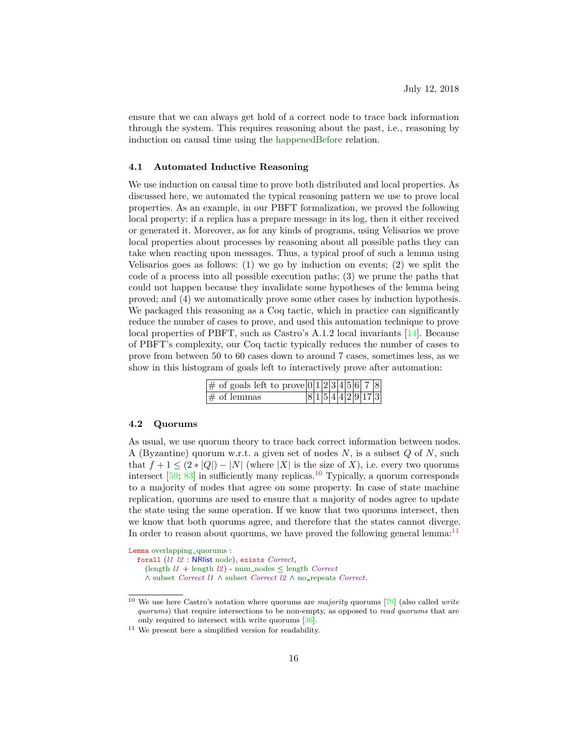ensure that we can always get hold of a correct node to trace back information through the system. This requires reasoning about the past, i.e., reasoning by induction on causal time using the happenedBefore relation.

#### <span id="page-15-3"></span>**4.1 Automated Inductive Reasoning**

We use induction on causal time to prove both distributed and local properties. As discussed here, we automated the typical reasoning pattern we use to prove local properties. As an example, in our PBFT formalization, we proved the following local property: if a replica has a prepare message in its log, then it either received or generated it. Moreover, as for any kinds of programs, using Velisarios we prove local properties about processes by reasoning about all possible paths they can take when reacting upon messages. Thus, a typical proof of such a lemma using Velisarios goes as follows: (1) we go by induction on events; (2) we split the code of a process into all possible execution paths; (3) we prune the paths that could not happen because they invalidate some hypotheses of the lemma being proved; and (4) we automatically prove some other cases by induction hypothesis. We packaged this reasoning as a Coq tactic, which in practice can significantly reduce the number of cases to prove, and used this automation technique to prove local properties of PBFT, such as Castro's A.1.2 local invariants [\[14\]](#page-25-5). Because of PBFT's complexity, our Coq tactic typically reduces the number of cases to prove from between 50 to 60 cases down to around 7 cases, sometimes less, as we show in this histogram of goals left to interactively prove after automation:

| # of goals left to prove $0\frac{1}{2}\frac{3}{4}\frac{4}{5}\frac{6}{7}\frac{7}{8}$<br># of lemmas 8154429173 |  |  |  |  |  |
|---------------------------------------------------------------------------------------------------------------|--|--|--|--|--|
|                                                                                                               |  |  |  |  |  |

### <span id="page-15-0"></span>**4.2 Quorums**

As usual, we use quorum theory to trace back correct information between nodes. A (Byzantine) quorum w.r.t. a given set of nodes *N*, is a subset *Q* of *N*, such that  $f + 1 \leq (2 * |Q|) - |N|$  (where  $|X|$  is the size of X), i.e. every two quorums intersect [\[59;](#page-26-11) [83\]](#page-26-12) in sufficiently many replicas.<sup>[10](#page-15-1)</sup> Typically, a quorum corresponds to a majority of nodes that agree on some property. In case of state machine replication, quorums are used to ensure that a majority of nodes agree to update the state using the same operation. If we know that two quorums intersect, then we know that both quorums agree, and therefore that the states cannot diverge. In order to reason about quorums, we have proved the following general lemma: $11$ 

Lemma overlapping\_quorums : forall (*l1 l2* : NRlist node), exists *Correct*,  $(\text{length } l1 + \text{length } l2) - \text{num nodes} \leq \text{length } Correct$ ∧ subset *Correct l1* ∧ subset *Correct l2* ∧ no repeats *Correct*.

<span id="page-15-1"></span><sup>10</sup> We use here Castro's notation where quorums are *majority* quorums [\[79\]](#page-26-13) (also called *write quorums*) that require intersections to be non-empty, as opposed to *read quorums* that are only required to intersect with write quorums [\[36\]](#page-25-15).

<span id="page-15-2"></span><sup>&</sup>lt;sup>11</sup> We present here a simplified version for readability.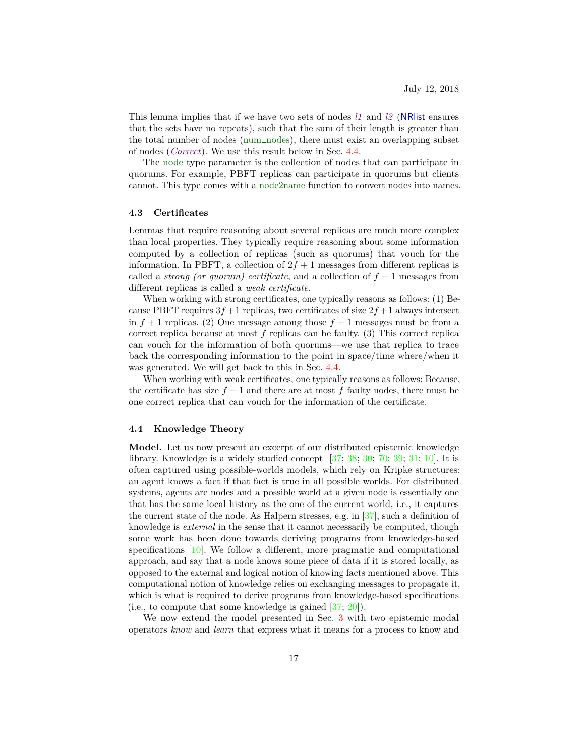This lemma implies that if we have two sets of nodes *l1* and *l2* (NRlist ensures that the sets have no repeats), such that the sum of their length is greater than the total number of nodes (num nodes), there must exist an overlapping subset of nodes (*Correct*). We use this result below in Sec. [4.4.](#page-16-0)

The node type parameter is the collection of nodes that can participate in quorums. For example, PBFT replicas can participate in quorums but clients cannot. This type comes with a node2name function to convert nodes into names.

#### <span id="page-16-1"></span>**4.3 Certificates**

Lemmas that require reasoning about several replicas are much more complex than local properties. They typically require reasoning about some information computed by a collection of replicas (such as quorums) that vouch for the information. In PBFT, a collection of  $2f + 1$  messages from different replicas is called a *strong (or quorum) certificate*, and a collection of  $f + 1$  messages from different replicas is called a *weak certificate*.

When working with strong certificates, one typically reasons as follows: (1) Because PBFT requires  $3f+1$  replicas, two certificates of size  $2f+1$  always intersect in  $f + 1$  replicas. (2) One message among those  $f + 1$  messages must be from a correct replica because at most *f* replicas can be faulty. (3) This correct replica can vouch for the information of both quorums—we use that replica to trace back the corresponding information to the point in space/time where/when it was generated. We will get back to this in Sec. [4.4.](#page-16-0)

When working with weak certificates, one typically reasons as follows: Because, the certificate has size  $f + 1$  and there are at most  $f$  faulty nodes, there must be one correct replica that can vouch for the information of the certificate.

#### <span id="page-16-0"></span>**4.4 Knowledge Theory**

**Model.** Let us now present an excerpt of our distributed epistemic knowledge library. Knowledge is a widely studied concept [\[37;](#page-25-16) [38;](#page-25-17) [30;](#page-25-18) [70;](#page-26-14) [39;](#page-25-19) [31;](#page-25-20) [10\]](#page-25-21). It is often captured using possible-worlds models, which rely on Kripke structures: an agent knows a fact if that fact is true in all possible worlds. For distributed systems, agents are nodes and a possible world at a given node is essentially one that has the same local history as the one of the current world, i.e., it captures the current state of the node. As Halpern stresses, e.g. in [\[37\]](#page-25-16), such a definition of knowledge is *external* in the sense that it cannot necessarily be computed, though some work has been done towards deriving programs from knowledge-based specifications [\[10\]](#page-25-21). We follow a different, more pragmatic and computational approach, and say that a node knows some piece of data if it is stored locally, as opposed to the external and logical notion of knowing facts mentioned above. This computational notion of knowledge relies on exchanging messages to propagate it, which is what is required to derive programs from knowledge-based specifications (i.e., to compute that some knowledge is gained  $[37; 20]$  $[37; 20]$  $[37; 20]$ ).

We now extend the model presented in Sec. [3](#page-5-0) with two epistemic modal operators *know* and *learn* that express what it means for a process to know and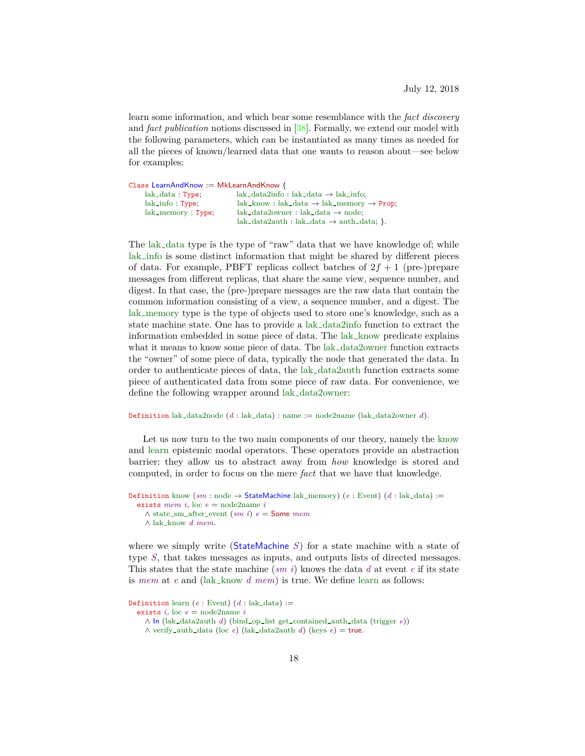learn some information, and which bear some resemblance with the *fact discovery* and *fact publication* notions discussed in [\[38\]](#page-25-17). Formally, we extend our model with the following parameters, which can be instantiated as many times as needed for all the pieces of known/learned data that one wants to reason about—see below for examples:

```
Class LearnAndKnow := MkLearnAndKnow {<br>lak\_data : Type; lak\_data2infolak_data2info : lak_data \rightarrow lak_info;
      \lvert \text{lak\_info}: \text{Type}; \qquad \qquad \text{lak\_know}: \text{lak\_data} \rightarrow \text{lak\_memory} \rightarrow \text{Prop};lak memory : Type; lak data2owner : lak data \rightarrow node;
                                            lak_data2auth : lak_data \rightarrow auth_data; }.
```
The lak-data type is the type of "raw" data that we have knowledge of; while lak info is some distinct information that might be shared by different pieces of data. For example, PBFT replicas collect batches of  $2f + 1$  (pre-)prepare messages from different replicas, that share the same view, sequence number, and digest. In that case, the (pre-)prepare messages are the raw data that contain the common information consisting of a view, a sequence number, and a digest. The lak memory type is the type of objects used to store one's knowledge, such as a state machine state. One has to provide a lak data2info function to extract the information embedded in some piece of data. The lak\_know predicate explains what it means to know some piece of data. The lak\_data2owner function extracts the "owner" of some piece of data, typically the node that generated the data. In order to authenticate pieces of data, the lak data2auth function extracts some piece of authenticated data from some piece of raw data. For convenience, we define the following wrapper around lak\_data2owner:

#### Definition lak\_data2node  $(d : \text{lak\_data}) : \text{name} := \text{node2name (lak\_data2ower d)}$ .

Let us now turn to the two main components of our theory, namely the know and learn epistemic modal operators. These operators provide an abstraction barrier: they allow us to abstract away from *how* knowledge is stored and computed, in order to focus on the mere *fact* that we have that knowledge.

```
Definition know (sm : node \rightarrow StateMachine \; lak\_memory) (e : Event) (d : lak\_data) :=exists mem i, loc e = node2name i
    ∧ state sm after event (sm i) e = Some mem
    ∧ lak know d mem.
```
where we simply write (StateMachine *S*) for a state machine with a state of type *S*, that takes messages as inputs, and outputs lists of directed messages. This states that the state machine (*sm i*) knows the data *d* at event *e* if its state is *mem* at *e* and (lak\_know *d mem*) is true. We define learn as follows:

```
Definition learn (e : Event) (d : lak_data) :=
  exists i, loc e = node2name i
    ∧ In (lak data2auth d) (bind op list get contained auth data (trigger e))
    \wedge verify_auth_data (loc e) (lak_data2auth d) (keys e) = true.
```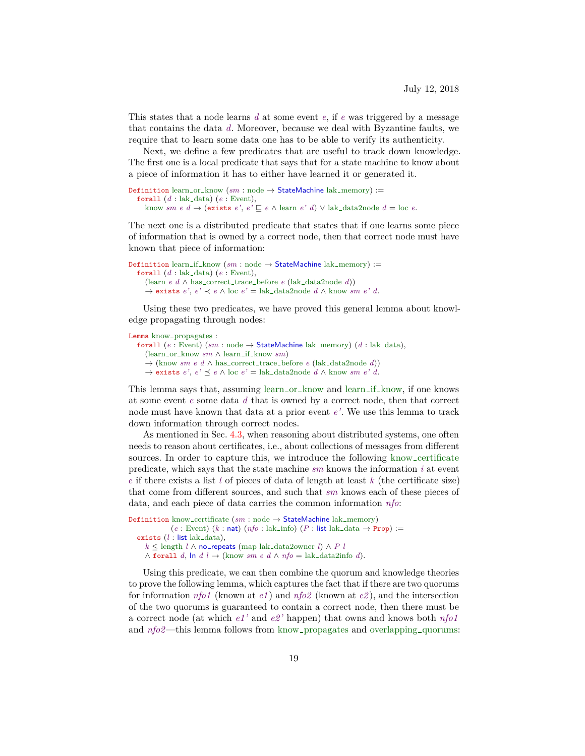This states that a node learns *d* at some event *e*, if *e* was triggered by a message that contains the data *d*. Moreover, because we deal with Byzantine faults, we require that to learn some data one has to be able to verify its authenticity.

Next, we define a few predicates that are useful to track down knowledge. The first one is a local predicate that says that for a state machine to know about a piece of information it has to either have learned it or generated it.

```
Definition learn_or_know (sm : node \rightarrow StateMachine\ lak-memory) :=forall (d : \text{lak\_data}) (e : \text{Event}),
     know sm e d \rightarrow (exists e', e' \sqsubseteq e \land learn e' d) \lor lak_data2node d = loc e.
```
The next one is a distributed predicate that states that if one learns some piece of information that is owned by a correct node, then that correct node must have known that piece of information:

```
Definition learn_if_know (sm : node \rightarrow StateMachine\ lak-memory) :=forall (d : \text{lak\_data}) (e : \text{Event}),
     (learn e d ∧ has correct trace before e (lak data2node d))
     → exists e', e' \prec e \wedge loc e' = lak_data2node d \wedge know sm e' d.
```
Using these two predicates, we have proved this general lemma about knowledge propagating through nodes:

#### Lemma know\_propagates :

```
forall (e:Event) (sm:node \rightarrow StateMachine lak_memory) (d:lak_data),
  (learn or know sm ∧ learn if know sm)
  \rightarrow (know sm e d \land has correct_trace_before e (lak_data2node d))
  → exists e', e' \le e \land \text{loc } e' = \text{lak\_data2node } d \land \text{know } sm \text{ } e' \text{ } d.
```
This lemma says that, assuming learn or know and learn if know, if one knows at some event *e* some data *d* that is owned by a correct node, then that correct node must have known that data at a prior event *e'*. We use this lemma to track down information through correct nodes.

As mentioned in Sec. [4.3,](#page-16-1) when reasoning about distributed systems, one often needs to reason about certificates, i.e., about collections of messages from different sources. In order to capture this, we introduce the following know certificate predicate, which says that the state machine *sm* knows the information *i* at event *e* if there exists a list *l* of pieces of data of length at least *k* (the certificate size) that come from different sources, and such that *sm* knows each of these pieces of data, and each piece of data carries the common information *nfo*:

```
Definition know_certificate (sm : node \rightarrow \text{StateMachine} \, \, \text{lak\_memory})(e:Event) (k:nat) (nfo: lak_info) (P: list lak_data \rightarrow Prop) :=exists (l : list lak_data),
    k ≤ length l ∧ no_repeats (map lak_data2owner l) ∧ P l∧ forall d, In d l → (know sm e d ∧ nfo = lak data2info d).
```
Using this predicate, we can then combine the quorum and knowledge theories to prove the following lemma, which captures the fact that if there are two quorums for information *nfo1* (known at *e1* ) and *nfo2* (known at *e2* ), and the intersection of the two quorums is guaranteed to contain a correct node, then there must be a correct node (at which *e1'* and *e2'* happen) that owns and knows both *nfo1* and  $nfo2$ —this lemma follows from know propagates and overlapping quorums: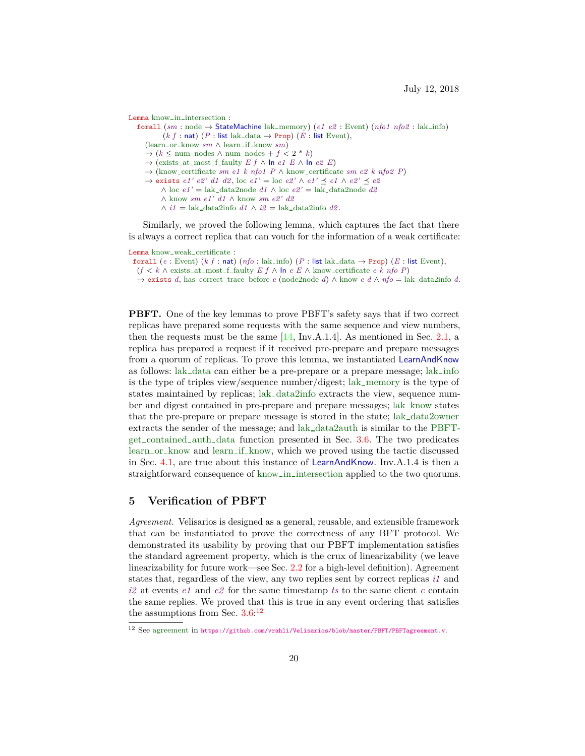Lemma know\_in\_intersection : forall  $(sm : node \rightarrow \text{StateMachine lak-memory})$  (*e1 e2* : Event)  $(nfo1 \ nfo2 : lak_info)$  $(k f : \text{nat})$   $(P : \text{list lak\_data} \rightarrow \text{Prop})$   $(E : \text{list Event})$ , (learn or know *sm* ∧ learn if know *sm*)  $\rightarrow (k \leq \text{num\_nodes} \land \text{num\_nodes} + f < 2 * k)$  $\rightarrow$  (exists\_at\_most\_f\_faulty *E f*  $\land$  **ln** *e1 E*  $\land$  **ln** *e2 E*)  $\rightarrow$  (know certificate *sm e1 k nfo1 P*  $\land$  know certificate *sm e2 k nfo2 P*)  $\rightarrow$  exists *e1' e2' d1 d2*, loc *e1'* = loc *e2'*  $\land$  *e1'*  $\prec$  *e1*  $\land$  *e2'*  $\prec$  *e2*  $∧$ loc $e1'$  = lak\_data2node  $d1 \, ∧$ loc $e2'$  = lak\_data2node  $d2$ ∧ know *sm e1' d1* ∧ know *sm e2' d2*  $∧ i1 = \text{lak_data2info } d1 ∧ i2 = \text{lak_data2info } d2.$ 

Similarly, we proved the following lemma, which captures the fact that there is always a correct replica that can vouch for the information of a weak certificate:

```
Lemma know_weak_certificate :
 forall (e: \text{Event}) (k f : \text{nat}) (nfo : \text{lak} \_ \text{info}) (P : \text{list } \text{lak} \_ \text{data} \to \text{Prop}) (E : \text{list } \text{Event}),
  (f < k \land \text{exists\_at\_most\_f\_faulty} E f ∧ In e E ∧ know_certificate e k nfo P)
  → exists d, has correct trace before e (node2node d) ∧ know e d ∧ nfo = lak data2info d.
```
**PBFT.** One of the key lemmas to prove PBFT's safety says that if two correct replicas have prepared some requests with the same sequence and view numbers, then the requests must be the same  $[14, Inv.A.1.4]$  $[14, Inv.A.1.4]$ . As mentioned in Sec. [2.1,](#page-2-1) a replica has prepared a request if it received pre-prepare and prepare messages from a quorum of replicas. To prove this lemma, we instantiated LearnAndKnow as follows: lak\_data can either be a pre-prepare or a prepare message; lak\_info is the type of triples view/sequence number/digest;  $\frac{1}{k}$  memory is the type of states maintained by replicas; lak\_data2info extracts the view, sequence number and digest contained in pre-prepare and prepare messages; lak know states that the pre-prepare or prepare message is stored in the state;  $\frac{lak\_data2ower}{l}$ extracts the sender of the message; and lak-data2auth is similar to the PBFTget contained auth data function presented in Sec. [3.6.](#page-11-0) The two predicates learn\_or\_know and learn\_if\_know, which we proved using the tactic discussed in Sec. [4.1,](#page-15-3) are true about this instance of LearnAndKnow. Inv.A.1.4 is then a straightforward consequence of know in intersection applied to the two quorums.

## <span id="page-19-0"></span>**5 Verification of PBFT**

*Agreement.* Velisarios is designed as a general, reusable, and extensible framework that can be instantiated to prove the correctness of any BFT protocol. We demonstrated its usability by proving that our PBFT implementation satisfies the standard agreement property, which is the crux of linearizability (we leave linearizability for future work—see Sec. [2.2](#page-4-0) for a high-level definition). Agreement states that, regardless of the view, any two replies sent by correct replicas *i1* and *i2* at events *e1* and *e2* for the same timestamp *ts* to the same client *c* contain the same replies. We proved that this is true in any event ordering that satisfies the assumptions from Sec.  $3.6$ <sup>[12](#page-19-1)</sup>

<span id="page-19-1"></span> $^{12}$  See agreement in <https://github.com/vrahli/Velisarios/blob/master/PBFT/PBFTagreement.v>.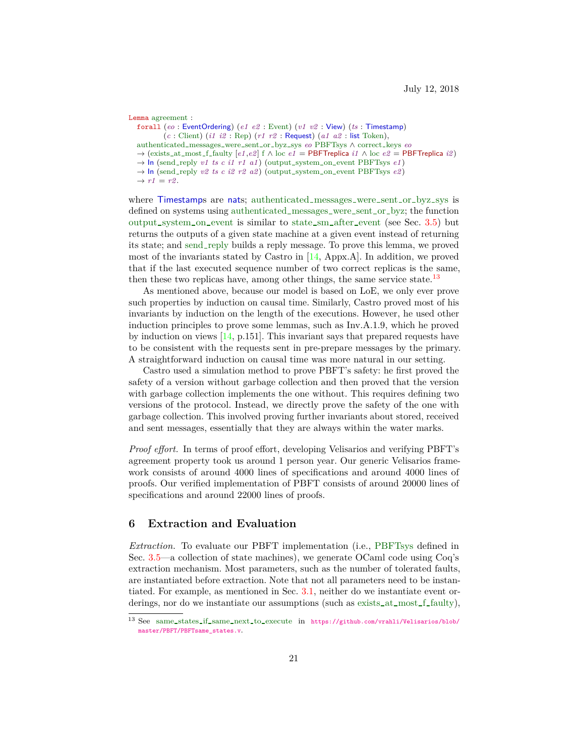```
Lemma agreement :
  forall (eo : EventOrdering) (e1 e2 : Event) (v1 v2 : View) (ts : Timestamp)
          (c : Client) (i1 i2 : Rep) (r1 r2 : Request) (a1 a2 : list Token),
  authenticated messages were sent or byz sys eo PBFTsys ∧ correct keys eo
  → (exists at most f faulty [e1 ,e2 ] f ∧ loc e1 = PBFTreplica i1 ∧ loc e2 = PBFTreplica i2 )
  \rightarrow In (send_reply v1 ts c i1 r1 a1) (output_system_on_event PBFTsys e1)
  \rightarrow In (send_reply v2 ts c i2 r2 a2) (output_system_on_event PBFTsys e2)
  \rightarrow r1 = r2.
```
where Timestamps are nats; authenticated\_messages\_were\_sent\_or\_byz\_sys is defined on systems using authenticated messages were sent or byz; the function output system on event is similar to state sm after event (see Sec. [3.5\)](#page-10-0) but returns the outputs of a given state machine at a given event instead of returning its state; and send\_reply builds a reply message. To prove this lemma, we proved most of the invariants stated by Castro in [\[14,](#page-25-5) Appx.A]. In addition, we proved that if the last executed sequence number of two correct replicas is the same, then these two replicas have, among other things, the same service state.<sup>[13](#page-20-1)</sup>

As mentioned above, because our model is based on LoE, we only ever prove such properties by induction on causal time. Similarly, Castro proved most of his invariants by induction on the length of the executions. However, he used other induction principles to prove some lemmas, such as Inv.A.1.9, which he proved by induction on views [\[14,](#page-25-5) p.151]. This invariant says that prepared requests have to be consistent with the requests sent in pre-prepare messages by the primary. A straightforward induction on causal time was more natural in our setting.

Castro used a simulation method to prove PBFT's safety: he first proved the safety of a version without garbage collection and then proved that the version with garbage collection implements the one without. This requires defining two versions of the protocol. Instead, we directly prove the safety of the one with garbage collection. This involved proving further invariants about stored, received and sent messages, essentially that they are always within the water marks.

*Proof effort.* In terms of proof effort, developing Velisarios and verifying PBFT's agreement property took us around 1 person year. Our generic Velisarios framework consists of around 4000 lines of specifications and around 4000 lines of proofs. Our verified implementation of PBFT consists of around 20000 lines of specifications and around 22000 lines of proofs.

## <span id="page-20-0"></span>**6 Extraction and Evaluation**

*Extraction.* To evaluate our PBFT implementation (i.e., PBFTsys defined in Sec. [3.5—](#page-10-0)a collection of state machines), we generate OCaml code using Coq's extraction mechanism. Most parameters, such as the number of tolerated faults, are instantiated before extraction. Note that not all parameters need to be instantiated. For example, as mentioned in Sec. [3.1,](#page-5-2) neither do we instantiate event orderings, nor do we instantiate our assumptions (such as exists at most f faulty),

<span id="page-20-1"></span><sup>13</sup> See same states if same next to execute in [https://github.com/vrahli/Velisarios/blob/](https://github.com/vrahli/Velisarios/blob/master/PBFT/PBFTsame_states.v) [master/PBFT/PBFTsame\\_states.v](https://github.com/vrahli/Velisarios/blob/master/PBFT/PBFTsame_states.v).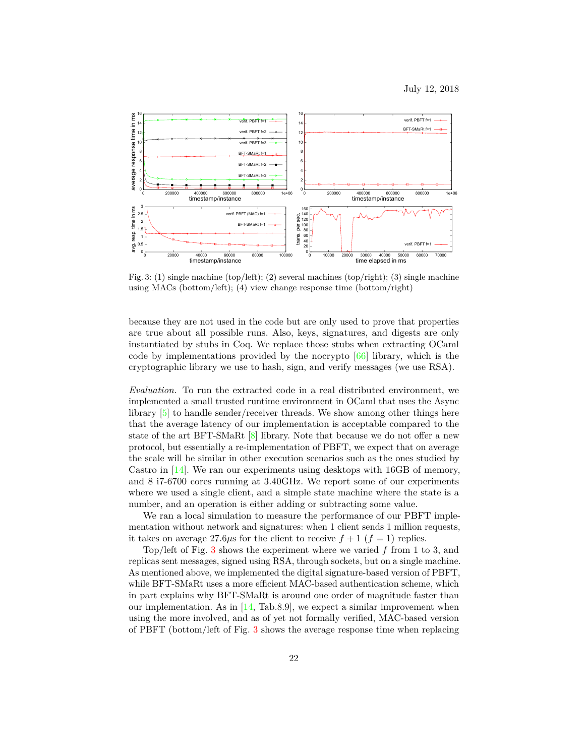<span id="page-21-0"></span>

Fig. 3: (1) single machine (top/left); (2) several machines (top/right); (3) single machine using MACs (bottom/left); (4) view change response time (bottom/right)

because they are not used in the code but are only used to prove that properties are true about all possible runs. Also, keys, signatures, and digests are only instantiated by stubs in Coq. We replace those stubs when extracting OCaml code by implementations provided by the nocrypto [\[66\]](#page-26-15) library, which is the cryptographic library we use to hash, sign, and verify messages (we use RSA).

*Evaluation.* To run the extracted code in a real distributed environment, we implemented a small trusted runtime environment in OCaml that uses the Async library [\[5\]](#page-25-23) to handle sender/receiver threads. We show among other things here that the average latency of our implementation is acceptable compared to the state of the art BFT-SMaRt [\[8\]](#page-25-7) library. Note that because we do not offer a new protocol, but essentially a re-implementation of PBFT, we expect that on average the scale will be similar in other execution scenarios such as the ones studied by Castro in [\[14\]](#page-25-5). We ran our experiments using desktops with 16GB of memory, and 8 i7-6700 cores running at 3.40GHz. We report some of our experiments where we used a single client, and a simple state machine where the state is a number, and an operation is either adding or subtracting some value.

We ran a local simulation to measure the performance of our PBFT implementation without network and signatures: when 1 client sends 1 million requests, it takes on average 27.6 $\mu$ s for the client to receive  $f + 1$  ( $f = 1$ ) replies.

Top/left of Fig. [3](#page-21-0) shows the experiment where we varied *f* from 1 to 3, and replicas sent messages, signed using RSA, through sockets, but on a single machine. As mentioned above, we implemented the digital signature-based version of PBFT, while BFT-SMaRt uses a more efficient MAC-based authentication scheme, which in part explains why BFT-SMaRt is around one order of magnitude faster than our implementation. As in  $[14, \text{Tab.}8.9]$  $[14, \text{Tab.}8.9]$ , we expect a similar improvement when using the more involved, and as of yet not formally verified, MAC-based version of PBFT (bottom/left of Fig. [3](#page-21-0) shows the average response time when replacing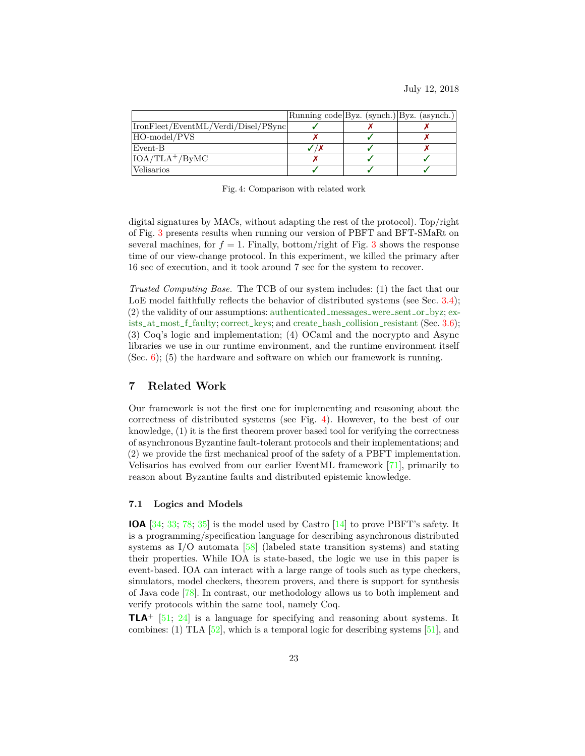<span id="page-22-1"></span>

|                                       |  | Running code Byz. (synch.) Byz. (asynch.) |
|---------------------------------------|--|-------------------------------------------|
| [IronFleet/EventML/Verdi/Disel/PSync] |  |                                           |
| HO-model/PVS                          |  |                                           |
| Event-B                               |  |                                           |
| $IOA/TLA+/ByMC$                       |  |                                           |
| Velisarios                            |  |                                           |

Fig. 4: Comparison with related work

digital signatures by MACs, without adapting the rest of the protocol). Top/right of Fig. [3](#page-21-0) presents results when running our version of PBFT and BFT-SMaRt on several machines, for  $f = 1$ . Finally, bottom/right of Fig. [3](#page-21-0) shows the response time of our view-change protocol. In this experiment, we killed the primary after 16 sec of execution, and it took around 7 sec for the system to recover.

*Trusted Computing Base.* The TCB of our system includes: (1) the fact that our LoE model faithfully reflects the behavior of distributed systems (see Sec. [3.4\)](#page-8-0);  $(2)$  the validity of our assumptions: authenticated messages were sent or byz; ex-ists\_at\_most\_f\_faulty; correct\_keys; and create\_hash\_collision\_resistant (Sec. [3.6\)](#page-11-0); (3) Coq's logic and implementation; (4) OCaml and the nocrypto and Async libraries we use in our runtime environment, and the runtime environment itself (Sec.  $6$ ); (5) the hardware and software on which our framework is running.

## **7 Related Work**

Our framework is not the first one for implementing and reasoning about the correctness of distributed systems (see Fig. [4\)](#page-22-1). However, to the best of our knowledge, (1) it is the first theorem prover based tool for verifying the correctness of asynchronous Byzantine fault-tolerant protocols and their implementations; and (2) we provide the first mechanical proof of the safety of a PBFT implementation. Velisarios has evolved from our earlier EventML framework [\[71\]](#page-26-5), primarily to reason about Byzantine faults and distributed epistemic knowledge.

## <span id="page-22-0"></span>**7.1 Logics and Models**

**IOA** [\[34;](#page-25-24) [33;](#page-25-25) [78;](#page-26-16) [35\]](#page-25-26) is the model used by Castro [\[14\]](#page-25-5) to prove PBFT's safety. It is a programming/specification language for describing asynchronous distributed systems as I/O automata [\[58\]](#page-26-17) (labeled state transition systems) and stating their properties. While IOA is state-based, the logic we use in this paper is event-based. IOA can interact with a large range of tools such as type checkers, simulators, model checkers, theorem provers, and there is support for synthesis of Java code [\[78\]](#page-26-16). In contrast, our methodology allows us to both implement and verify protocols within the same tool, namely Coq.

**TLA**<sup>+</sup> [\[51;](#page-26-18) [24\]](#page-25-27) is a language for specifying and reasoning about systems. It combines: (1) TLA  $[52]$ , which is a temporal logic for describing systems  $[51]$ , and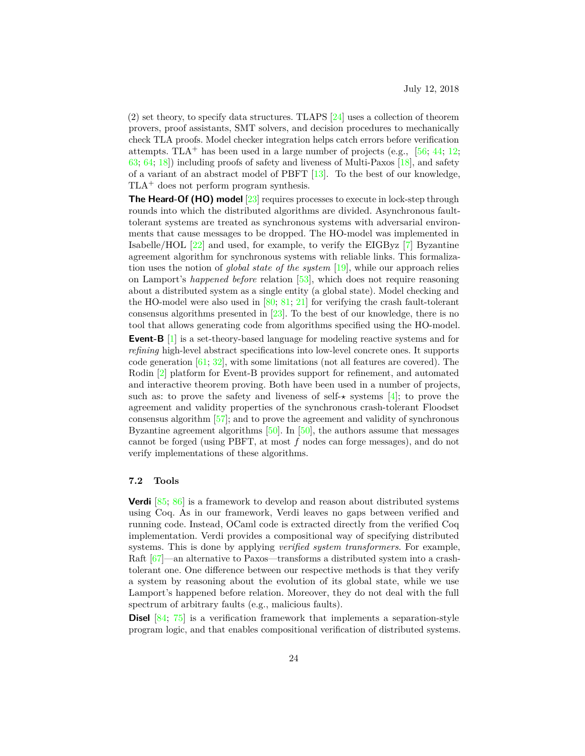(2) set theory, to specify data structures. TLAPS [\[24\]](#page-25-27) uses a collection of theorem provers, proof assistants, SMT solvers, and decision procedures to mechanically check TLA proofs. Model checker integration helps catch errors before verification attempts. TLA<sup>+</sup> has been used in a large number of projects (e.g., [\[56;](#page-26-20) [44;](#page-25-28) [12;](#page-25-29) [63;](#page-26-21) [64;](#page-26-22) [18\]](#page-25-30)) including proofs of safety and liveness of Multi-Paxos [\[18\]](#page-25-30), and safety of a variant of an abstract model of PBFT [\[13\]](#page-25-31). To the best of our knowledge,  $TLA^+$  does not perform program synthesis.

**The Heard-Of (HO) model** [\[23\]](#page-25-32) requires processes to execute in lock-step through rounds into which the distributed algorithms are divided. Asynchronous faulttolerant systems are treated as synchronous systems with adversarial environments that cause messages to be dropped. The HO-model was implemented in Isabelle/HOL [\[22\]](#page-25-33) and used, for example, to verify the EIGByz [\[7\]](#page-25-34) Byzantine agreement algorithm for synchronous systems with reliable links. This formalization uses the notion of *global state of the system* [\[19\]](#page-25-14), while our approach relies on Lamport's *happened before* relation [\[53\]](#page-26-6), which does not require reasoning about a distributed system as a single entity (a global state). Model checking and the HO-model were also used in  $[80; 81; 21]$  $[80; 81; 21]$  $[80; 81; 21]$  $[80; 81; 21]$  $[80; 81; 21]$  for verifying the crash fault-tolerant consensus algorithms presented in [\[23\]](#page-25-32). To the best of our knowledge, there is no tool that allows generating code from algorithms specified using the HO-model.

**Event-B** [\[1\]](#page-25-36) is a set-theory-based language for modeling reactive systems and for *refining* high-level abstract specifications into low-level concrete ones. It supports code generation [\[61;](#page-26-25) [32\]](#page-25-37), with some limitations (not all features are covered). The Rodin [\[2\]](#page-25-38) platform for Event-B provides support for refinement, and automated and interactive theorem proving. Both have been used in a number of projects, such as: to prove the safety and liveness of self- $\star$  systems [\[4\]](#page-25-39); to prove the agreement and validity properties of the synchronous crash-tolerant Floodset consensus algorithm [\[57\]](#page-26-26); and to prove the agreement and validity of synchronous Byzantine agreement algorithms [\[50\]](#page-26-27). In [\[50\]](#page-26-27), the authors assume that messages cannot be forged (using PBFT, at most *f* nodes can forge messages), and do not verify implementations of these algorithms.

#### **7.2 Tools**

**Verdi** [\[85;](#page-26-28) [86\]](#page-26-29) is a framework to develop and reason about distributed systems using Coq. As in our framework, Verdi leaves no gaps between verified and running code. Instead, OCaml code is extracted directly from the verified Coq implementation. Verdi provides a compositional way of specifying distributed systems. This is done by applying *verified system transformers*. For example, Raft [\[67\]](#page-26-30)—an alternative to Paxos—transforms a distributed system into a crashtolerant one. One difference between our respective methods is that they verify a system by reasoning about the evolution of its global state, while we use Lamport's happened before relation. Moreover, they do not deal with the full spectrum of arbitrary faults (e.g., malicious faults).

**Disel** [\[84;](#page-26-31) [75\]](#page-26-32) is a verification framework that implements a separation-style program logic, and that enables compositional verification of distributed systems.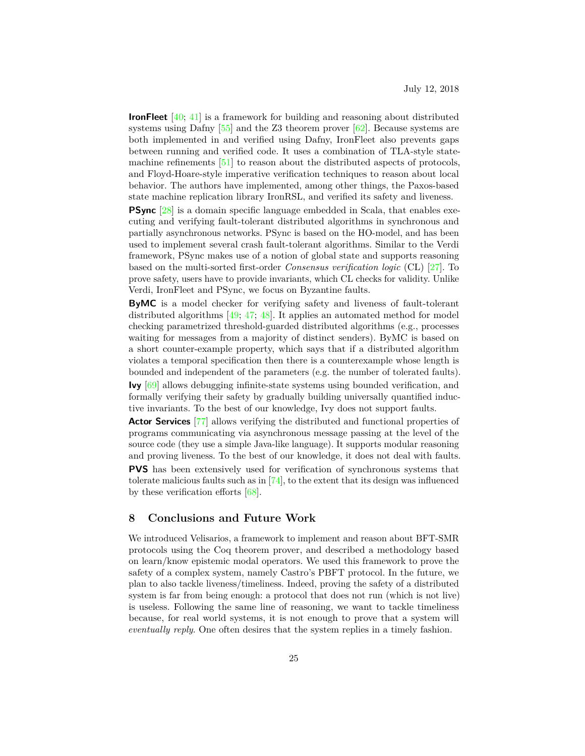**IronFleet** [\[40;](#page-25-40) [41\]](#page-25-41) is a framework for building and reasoning about distributed systems using Dafny [\[55\]](#page-26-33) and the Z3 theorem prover [\[62\]](#page-26-34). Because systems are both implemented in and verified using Dafny, IronFleet also prevents gaps between running and verified code. It uses a combination of TLA-style statemachine refinements [\[51\]](#page-26-18) to reason about the distributed aspects of protocols, and Floyd-Hoare-style imperative verification techniques to reason about local behavior. The authors have implemented, among other things, the Paxos-based state machine replication library IronRSL, and verified its safety and liveness.

**PSync** [\[28\]](#page-25-42) is a domain specific language embedded in Scala, that enables executing and verifying fault-tolerant distributed algorithms in synchronous and partially asynchronous networks. PSync is based on the HO-model, and has been used to implement several crash fault-tolerant algorithms. Similar to the Verdi framework, PSync makes use of a notion of global state and supports reasoning based on the multi-sorted first-order *Consensus verification logic* (CL) [\[27\]](#page-25-43). To prove safety, users have to provide invariants, which CL checks for validity. Unlike Verdi, IronFleet and PSync, we focus on Byzantine faults.

**ByMC** is a model checker for verifying safety and liveness of fault-tolerant distributed algorithms [\[49;](#page-26-35) [47;](#page-26-36) [48\]](#page-26-37). It applies an automated method for model checking parametrized threshold-guarded distributed algorithms (e.g., processes waiting for messages from a majority of distinct senders). ByMC is based on a short counter-example property, which says that if a distributed algorithm violates a temporal specification then there is a counterexample whose length is bounded and independent of the parameters (e.g. the number of tolerated faults).

**Ivy** [\[69\]](#page-26-38) allows debugging infinite-state systems using bounded verification, and formally verifying their safety by gradually building universally quantified inductive invariants. To the best of our knowledge, Ivy does not support faults.

**Actor Services** [\[77\]](#page-26-39) allows verifying the distributed and functional properties of programs communicating via asynchronous message passing at the level of the source code (they use a simple Java-like language). It supports modular reasoning and proving liveness. To the best of our knowledge, it does not deal with faults. **PVS** has been extensively used for verification of synchronous systems that tolerate malicious faults such as in  $[74]$ , to the extent that its design was influenced by these verification efforts [\[68\]](#page-26-41).

## **8 Conclusions and Future Work**

We introduced Velisarios, a framework to implement and reason about BFT-SMR protocols using the Coq theorem prover, and described a methodology based on learn/know epistemic modal operators. We used this framework to prove the safety of a complex system, namely Castro's PBFT protocol. In the future, we plan to also tackle liveness/timeliness. Indeed, proving the safety of a distributed system is far from being enough: a protocol that does not run (which is not live) is useless. Following the same line of reasoning, we want to tackle timeliness because, for real world systems, it is not enough to prove that a system will *eventually reply*. One often desires that the system replies in a timely fashion.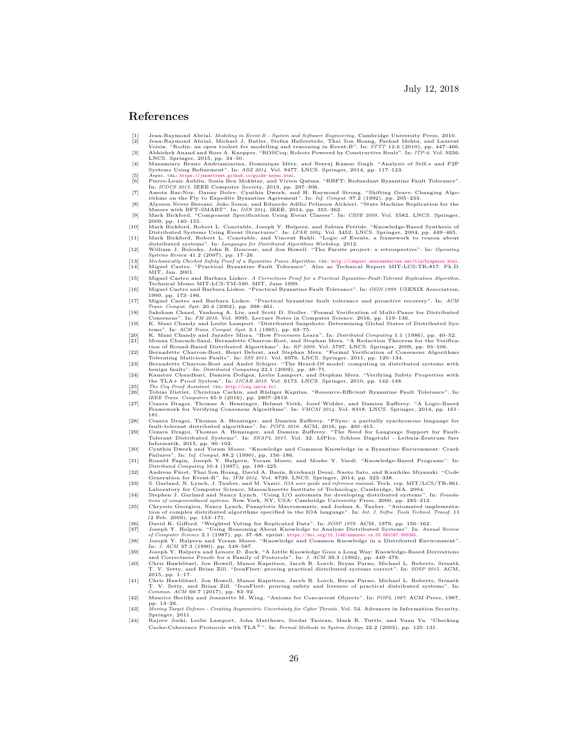## **References**

- <span id="page-25-38"></span><span id="page-25-36"></span>
- <span id="page-25-13"></span>
- [1] Jean-Raymond Abrial. *Modeling in Event-B* System and Software Engineering. Cambridge University Press, 2010.<br>
[2] Jean-Raymond Abrial, Michael J. Butler, Stefan Hallerstede, Thai Son Hoang, Farhad Mehta, and Laurent
- <span id="page-25-39"></span>
- <span id="page-25-23"></span><span id="page-25-9"></span>5] Async. URL: <https://janestreet.github.io/guide-async.html>.<br>[6] Pierre-Louis Aublin, Sonia Ben Mokhtar, and Vivien Quéma. "RBFT: Redundant Byzantine Fault Tolerance".<br>[6] In: ICDCS 2013. IEEE Computer Society, 2013, pp.
- <span id="page-25-34"></span>
- <span id="page-25-7"></span>rithms on the Fly to Expedite Byzantine Agreement". In: *Inf. Comput.* 97.2 (1992), pp. 205–233.<br>[8] Alysson Neves Bessani, João Sousa, and Eduardo Adilio Pelinson Alchieri. "State Machine Replication for the<br>Masses with B [9] Mark Bickford. "Component Specification Using Event Classes". In: *CBSE 2009*. Vol. 5582. LNCS. Springer,
- <span id="page-25-11"></span>2009, pp. 140–155.<br>
Mark Bickford, Robert L. Constable, Joseph Y. Halpern, and Sabina Petride. "Knowledge-Based Synth<br>
Mark Bickford, Robert L. Constable, Joseph Y. Halpern, and Sabina Petride. "Knowledge-Based Synth"
- <span id="page-25-21"></span><span id="page-25-12"></span>[10] Mark Bickford, Robert L. Constable, Joseph Y. Halpern, and Sabina Petride. "Knowledge-Based Synthesis of<br>Distributed Systems Using Event Structures". In: LPAR 2004. Vol. 3452. LNCS. Springer, 2004, pp. 449–465.<br>[11] M
- <span id="page-25-29"></span>
- <span id="page-25-31"></span><span id="page-25-5"></span>*Systems Review* 41.2 (2007), pp. 17–26. [13] *Mechanical ly Checked Safety Proof of a Byzantine Paxos Algorithm*. url: <http://lamport.azurewebsites.net/tla/byzpaxos.html>. [14] Miguel Castro. "Practical Byzantine Fault Tolerance". Also as Technical Report MIT-LCS-TR-817. Ph.D. Mechanicaty Check<br>Miguel Castro.<br>MIT, Jan. 2001.
- <span id="page-25-4"></span>[15] Miguel Castro and Barbara Liskov. *A Correctness Proof for a Practical Byzantine-Fault-Tolerant Replication Algorithm*.
- <span id="page-25-0"></span>Technical Memo MIT-LCS-TM-590. MIT, June 1999. [16] Miguel Castro and Barbara Liskov. "Practical Byzantine Fault Tolerance". In: *OSDI 1999*. USENIX Association, 1999, pp. 173–186.<br>Miguel Castro and Barbara Liskov. "Practical byzantine fault tolerance and proactive recovery". In: ACM
- 
- <span id="page-25-30"></span><span id="page-25-14"></span>
- <span id="page-25-22"></span>
- <span id="page-25-35"></span>
- <span id="page-25-33"></span><span id="page-25-32"></span>
- <span id="page-25-1"></span>[17] Miguel Castro and Barbara Liskov. "Practical byzantine fault tolerance and proactive recovery". In:  $ACM$ <br>Trans. Comput. Syst. 20.4 (2002), pp. 398–461.<br>[18] Saksham Chand, Yanhong A. Liu, and Scott D. Stoller. "Forma
- <span id="page-25-27"></span><span id="page-25-6"></span>
- <span id="page-25-8"></span>[26] Tobias Distler, Christian Cachin, and Rüdiger Kapitza. "Resource-Efficient Byzantine Fault Tolerance". In:<br> *IEEE Trans. Computers* 65.9 (2016), pp. 2807–2819.<br>
[27] Cezara Dragoi, Thomas A. Henzinger, Helmut Veith, J
- <span id="page-25-43"></span>
- <span id="page-25-42"></span>181.<br>
28] Cezara Dragoi, Thomas A. Henzinger, and Damien Zufferey. "PSync: a partially synchronous language for Cezara Dragoi, Thomas A. Henzinger, and Damien Zufferey. "The Need for Language Support for Fault-Tolerant Di
- <span id="page-25-3"></span>[30] Cynthia Dwork and Yoram Moses. "Knowledge and Common Knowledge in a Byzantine Environment: Crash
- <span id="page-25-18"></span>
- <span id="page-25-20"></span>Failures". In: *Inf. Comput.* 88.2 (1990), pp. 156–186.<br>[31] Ronald Fagin, Joseph Y. Halpern, Yoram Moses, and Moshe Y. Vardi. "Knowledge-Based Programs". In:<br>Distributed Computing 10.4 (1997), pp. 199–225.<br>[32] Andreas Fü
- <span id="page-25-37"></span>
- <span id="page-25-25"></span>Generation for Event-B". In: IFM 2014. Vol. 8739. LNGS. Springer, 2014, pp. 323–338.<br>
S. Garland, N. Lynch, J. Tauber, and M. Vaziri. IOA user guide and reference manual. Tech. rep. MIT/LCS/TR-961.<br>
[33] S. Garland, N. Lyn
- <span id="page-25-26"></span><span id="page-25-24"></span>
- <span id="page-25-15"></span>
- <span id="page-25-17"></span><span id="page-25-16"></span>
- (2 Feb. 2009), pp. 153–171.<br>
[36] David K. Gifford. "Weighted Voting for Replicated Data". In: *SOSP 1979.* ACM, 1979, pp. 150–162.<br>
[36] David K. Gifford. "Weighted Voting Reasoning About Knowledge to Analyze Distributed
- <span id="page-25-19"></span>
- <span id="page-25-40"></span>[41] Chris Hawblitzel, Jon Howell, Manos Kapritsos, Jacob R. Lorch, Bryan Parno, Michael L. Roberts, Srinath
- <span id="page-25-41"></span>T. V. Setty, and Brian Zill. "IronFleet: proving safety and liveness of practical distributed systems". In:<br>Commun. ACM 60.7 (2017), pp. 83–92.<br>[42] Maurice Herlihy and Jeannette M. Wing. "Axioms for Concurrent Objects". I
- <span id="page-25-10"></span>
- <span id="page-25-2"></span>pp. 13–26.<br>
Moving Target Defense - Creating Asymmetric Uncertainty for Cyber Threats. Vol. 54. Advances in Information Security.<br>
Springer, 2011.<br>
[44] Rajeev Joshi, Leslie Lamport, John Matthews, Serdar Tasiran, Mark R.
- <span id="page-25-28"></span>